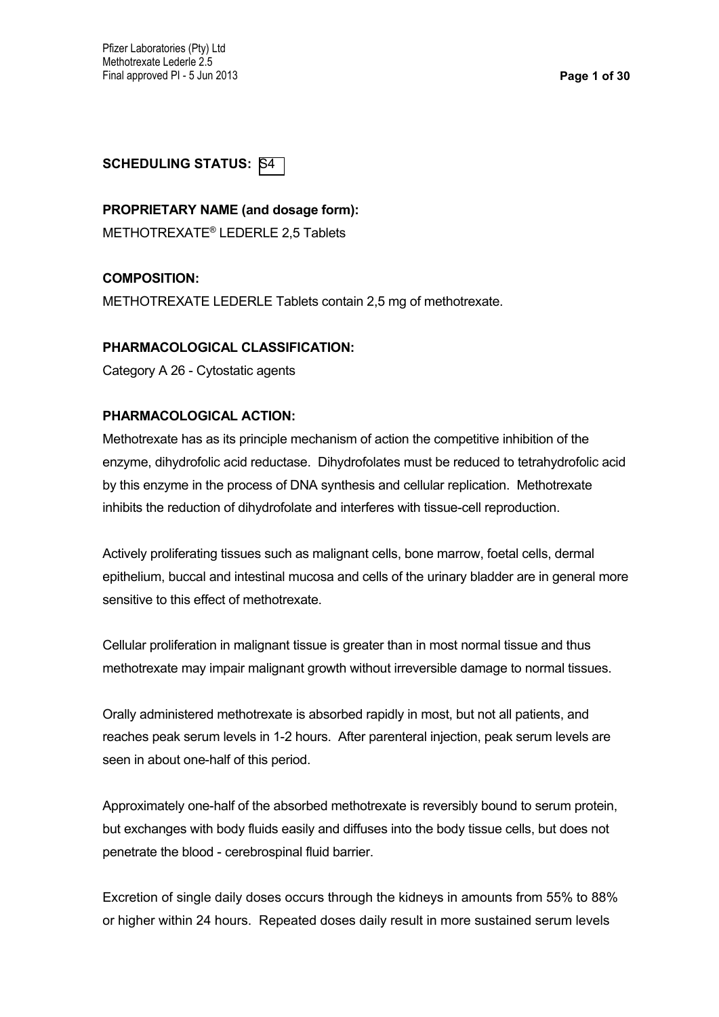### **SCHEDULING STATUS: S4**

#### **PROPRIETARY NAME (and dosage form):**

METHOTREXATE® LEDERLE 2,5 Tablets

### **COMPOSITION:**

METHOTREXATE LEDERLE Tablets contain 2,5 mg of methotrexate.

#### **PHARMACOLOGICAL CLASSIFICATION:**

Category A 26 - Cytostatic agents

### **PHARMACOLOGICAL ACTION:**

Methotrexate has as its principle mechanism of action the competitive inhibition of the enzyme, dihydrofolic acid reductase. Dihydrofolates must be reduced to tetrahydrofolic acid by this enzyme in the process of DNA synthesis and cellular replication. Methotrexate inhibits the reduction of dihydrofolate and interferes with tissue-cell reproduction.

Actively proliferating tissues such as malignant cells, bone marrow, foetal cells, dermal epithelium, buccal and intestinal mucosa and cells of the urinary bladder are in general more sensitive to this effect of methotrexate.

Cellular proliferation in malignant tissue is greater than in most normal tissue and thus methotrexate may impair malignant growth without irreversible damage to normal tissues.

Orally administered methotrexate is absorbed rapidly in most, but not all patients, and reaches peak serum levels in 1-2 hours. After parenteral injection, peak serum levels are seen in about one-half of this period.

Approximately one-half of the absorbed methotrexate is reversibly bound to serum protein, but exchanges with body fluids easily and diffuses into the body tissue cells, but does not penetrate the blood - cerebrospinal fluid barrier.

Excretion of single daily doses occurs through the kidneys in amounts from 55% to 88% or higher within 24 hours. Repeated doses daily result in more sustained serum levels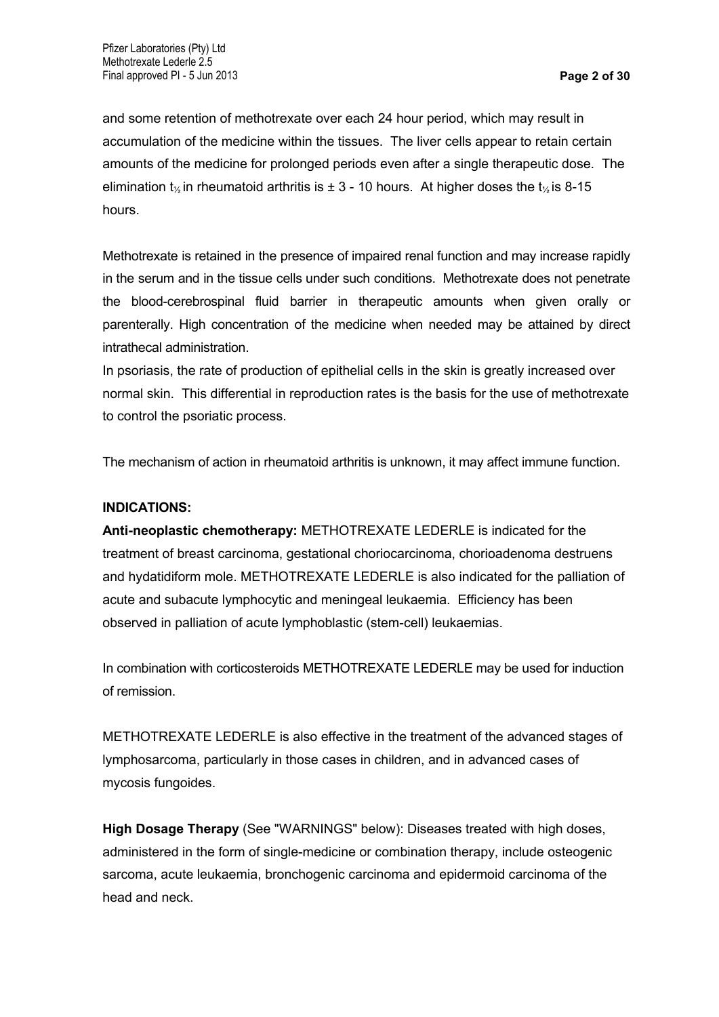and some retention of methotrexate over each 24 hour period, which may result in accumulation of the medicine within the tissues. The liver cells appear to retain certain amounts of the medicine for prolonged periods even after a single therapeutic dose. The elimination  $t_{\frac{1}{2}}$  in rheumatoid arthritis is  $\pm$  3 - 10 hours. At higher doses the  $t_{\frac{1}{2}}$  is 8-15 hours.

Methotrexate is retained in the presence of impaired renal function and may increase rapidly in the serum and in the tissue cells under such conditions. Methotrexate does not penetrate the blood-cerebrospinal fluid barrier in therapeutic amounts when given orally or parenterally. High concentration of the medicine when needed may be attained by direct intrathecal administration.

In psoriasis, the rate of production of epithelial cells in the skin is greatly increased over normal skin. This differential in reproduction rates is the basis for the use of methotrexate to control the psoriatic process.

The mechanism of action in rheumatoid arthritis is unknown, it may affect immune function.

### **INDICATIONS:**

**Anti-neoplastic chemotherapy:** METHOTREXATE LEDERLE is indicated for the treatment of breast carcinoma, gestational choriocarcinoma, chorioadenoma destruens and hydatidiform mole. METHOTREXATE LEDERLE is also indicated for the palliation of acute and subacute lymphocytic and meningeal leukaemia. Efficiency has been observed in palliation of acute lymphoblastic (stem-cell) leukaemias.

In combination with corticosteroids METHOTREXATE LEDERLE may be used for induction of remission.

METHOTREXATE LEDERLE is also effective in the treatment of the advanced stages of lymphosarcoma, particularly in those cases in children, and in advanced cases of mycosis fungoides.

**High Dosage Therapy** (See "WARNINGS" below): Diseases treated with high doses, administered in the form of single-medicine or combination therapy, include osteogenic sarcoma, acute leukaemia, bronchogenic carcinoma and epidermoid carcinoma of the head and neck.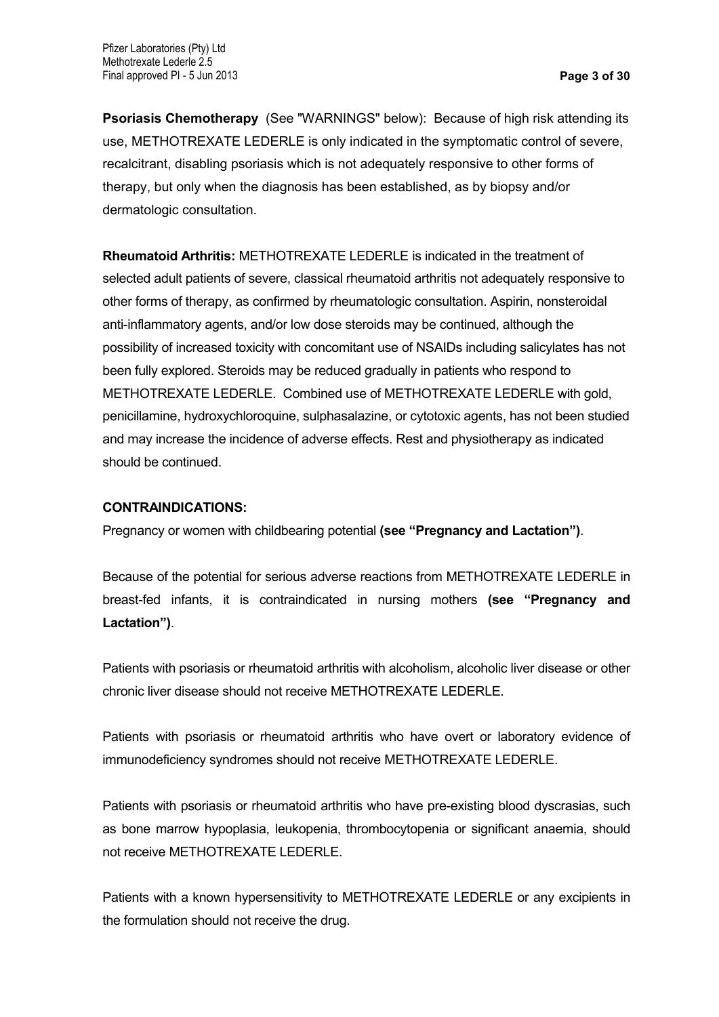**Psoriasis Chemotherapy** (See "WARNINGS" below): Because of high risk attending its use, METHOTREXATE LEDERLE is only indicated in the symptomatic control of severe, recalcitrant, disabling psoriasis which is not adequately responsive to other forms of therapy, but only when the diagnosis has been established, as by biopsy and/or dermatologic consultation.

**Rheumatoid Arthritis:** METHOTREXATE LEDERLE is indicated in the treatment of selected adult patients of severe, classical rheumatoid arthritis not adequately responsive to other forms of therapy, as confirmed by rheumatologic consultation. Aspirin, nonsteroidal anti-inflammatory agents, and/or low dose steroids may be continued, although the possibility of increased toxicity with concomitant use of NSAIDs including salicylates has not been fully explored. Steroids may be reduced gradually in patients who respond to METHOTREXATE LEDERLE. Combined use of METHOTREXATE LEDERLE with gold, penicillamine, hydroxychloroquine, sulphasalazine, or cytotoxic agents, has not been studied and may increase the incidence of adverse effects. Rest and physiotherapy as indicated should be continued.

#### **CONTRAINDICATIONS:**

Pregnancy or women with childbearing potential **(see "Pregnancy and Lactation")**.

Because of the potential for serious adverse reactions from METHOTREXATE LEDERLE in breast-fed infants, it is contraindicated in nursing mothers **(see "Pregnancy and Lactation")**.

Patients with psoriasis or rheumatoid arthritis with alcoholism, alcoholic liver disease or other chronic liver disease should not receive METHOTREXATE LEDERLE.

Patients with psoriasis or rheumatoid arthritis who have overt or laboratory evidence of immunodeficiency syndromes should not receive METHOTREXATE LEDERLE.

Patients with psoriasis or rheumatoid arthritis who have pre-existing blood dyscrasias, such as bone marrow hypoplasia, leukopenia, thrombocytopenia or significant anaemia, should not receive METHOTREXATE LEDERLE.

Patients with a known hypersensitivity to METHOTREXATE LEDERLE or any excipients in the formulation should not receive the drug.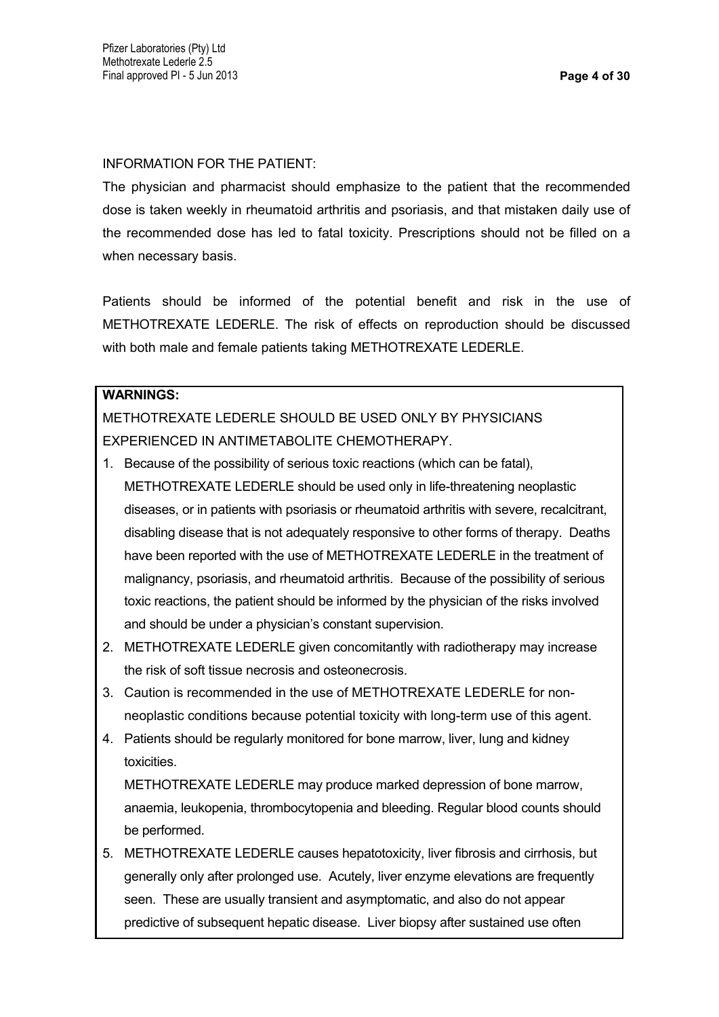INFORMATION FOR THE PATIENT:

The physician and pharmacist should emphasize to the patient that the recommended dose is taken weekly in rheumatoid arthritis and psoriasis, and that mistaken daily use of the recommended dose has led to fatal toxicity. Prescriptions should not be filled on a when necessary basis.

Patients should be informed of the potential benefit and risk in the use of METHOTREXATE LEDERLE. The risk of effects on reproduction should be discussed with both male and female patients taking METHOTREXATE LEDERLE.

# **WARNINGS:**

METHOTREXATE LEDERLE SHOULD BE USED ONLY BY PHYSICIANS EXPERIENCED IN ANTIMETABOLITE CHEMOTHERAPY.

- 1. Because of the possibility of serious toxic reactions (which can be fatal), METHOTREXATE LEDERLE should be used only in life-threatening neoplastic diseases, or in patients with psoriasis or rheumatoid arthritis with severe, recalcitrant, disabling disease that is not adequately responsive to other forms of therapy. Deaths have been reported with the use of METHOTREXATE LEDERLE in the treatment of malignancy, psoriasis, and rheumatoid arthritis. Because of the possibility of serious toxic reactions, the patient should be informed by the physician of the risks involved and should be under a physician's constant supervision.
- 2. METHOTREXATE LEDERLE given concomitantly with radiotherapy may increase the risk of soft tissue necrosis and osteonecrosis.
- 3. Caution is recommended in the use of METHOTREXATE LEDERLE for nonneoplastic conditions because potential toxicity with long-term use of this agent.
- 4. Patients should be regularly monitored for bone marrow, liver, lung and kidney toxicities.

METHOTREXATE LEDERLE may produce marked depression of bone marrow, anaemia, leukopenia, thrombocytopenia and bleeding. Regular blood counts should be performed.

5. METHOTREXATE LEDERLE causes hepatotoxicity, liver fibrosis and cirrhosis, but generally only after prolonged use. Acutely, liver enzyme elevations are frequently seen. These are usually transient and asymptomatic, and also do not appear predictive of subsequent hepatic disease. Liver biopsy after sustained use often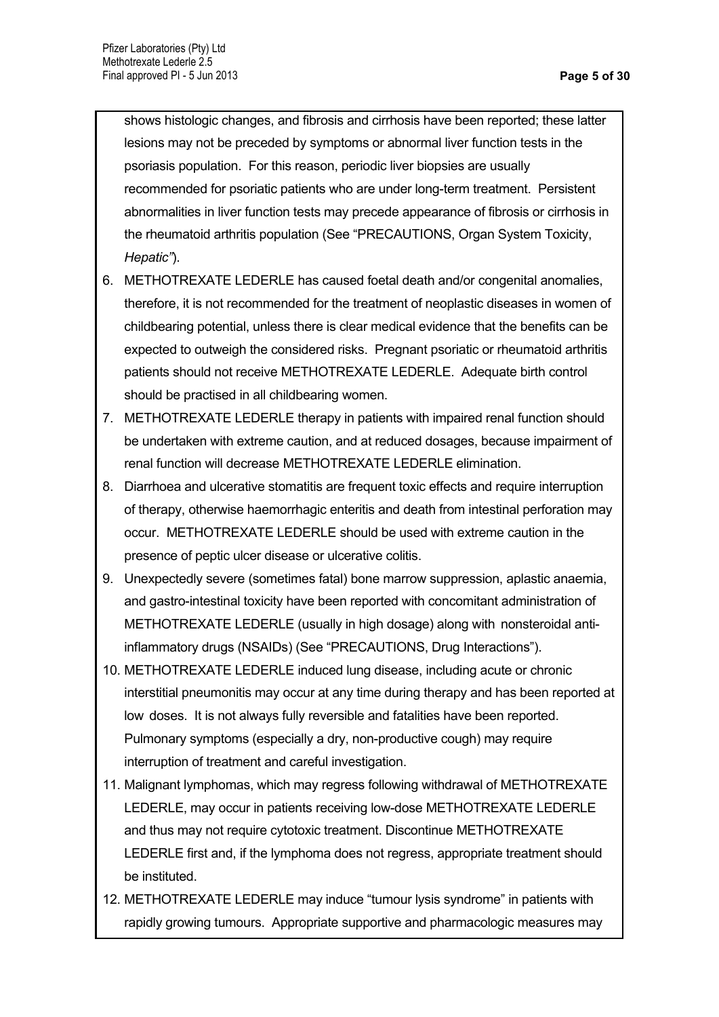shows histologic changes, and fibrosis and cirrhosis have been reported; these latter lesions may not be preceded by symptoms or abnormal liver function tests in the psoriasis population. For this reason, periodic liver biopsies are usually recommended for psoriatic patients who are under long-term treatment. Persistent abnormalities in liver function tests may precede appearance of fibrosis or cirrhosis in the rheumatoid arthritis population (See "PRECAUTIONS, Organ System Toxicity, *Hepatic"*).

- 6. METHOTREXATE LEDERLE has caused foetal death and/or congenital anomalies, therefore, it is not recommended for the treatment of neoplastic diseases in women of childbearing potential, unless there is clear medical evidence that the benefits can be expected to outweigh the considered risks. Pregnant psoriatic or rheumatoid arthritis patients should not receive METHOTREXATE LEDERLE. Adequate birth control should be practised in all childbearing women.
- 7. METHOTREXATE LEDERLE therapy in patients with impaired renal function should be undertaken with extreme caution, and at reduced dosages, because impairment of renal function will decrease METHOTREXATE LEDERLE elimination.
- 8. Diarrhoea and ulcerative stomatitis are frequent toxic effects and require interruption of therapy, otherwise haemorrhagic enteritis and death from intestinal perforation may occur. METHOTREXATE LEDERLE should be used with extreme caution in the presence of peptic ulcer disease or ulcerative colitis.
- 9. Unexpectedly severe (sometimes fatal) bone marrow suppression, aplastic anaemia, and gastro-intestinal toxicity have been reported with concomitant administration of METHOTREXATE LEDERLE (usually in high dosage) along with nonsteroidal antiinflammatory drugs (NSAIDs) (See "PRECAUTIONS, Drug Interactions").
- 10. METHOTREXATE LEDERLE induced lung disease, including acute or chronic interstitial pneumonitis may occur at any time during therapy and has been reported at low doses. It is not always fully reversible and fatalities have been reported. Pulmonary symptoms (especially a dry, non-productive cough) may require interruption of treatment and careful investigation.
- 11. Malignant lymphomas, which may regress following withdrawal of METHOTREXATE LEDERLE, may occur in patients receiving low-dose METHOTREXATE LEDERLE and thus may not require cytotoxic treatment. Discontinue METHOTREXATE LEDERLE first and, if the lymphoma does not regress, appropriate treatment should be instituted.
- 12. METHOTREXATE LEDERLE may induce "tumour lysis syndrome" in patients with rapidly growing tumours. Appropriate supportive and pharmacologic measures may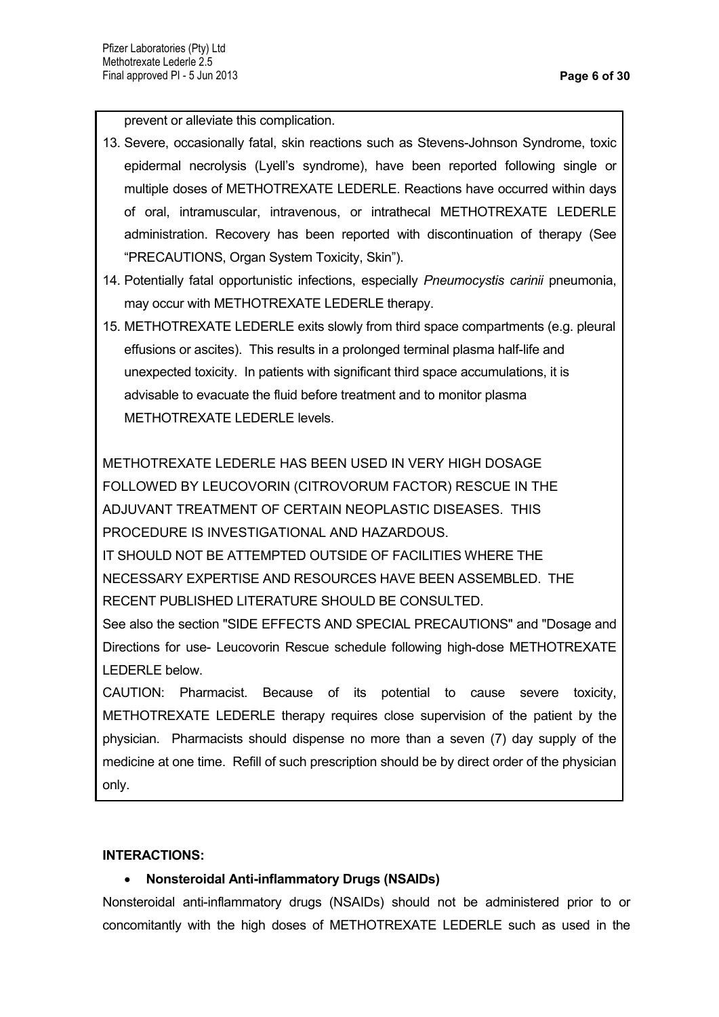prevent or alleviate this complication.

- 13. Severe, occasionally fatal, skin reactions such as Stevens-Johnson Syndrome, toxic epidermal necrolysis (Lyell's syndrome), have been reported following single or multiple doses of METHOTREXATE LEDERLE. Reactions have occurred within days of oral, intramuscular, intravenous, or intrathecal METHOTREXATE LEDERLE administration. Recovery has been reported with discontinuation of therapy (See "PRECAUTIONS, Organ System Toxicity, Skin").
- 14. Potentially fatal opportunistic infections, especially *Pneumocystis carinii* pneumonia, may occur with METHOTREXATE LEDERLE therapy.
- 15. METHOTREXATE LEDERLE exits slowly from third space compartments (e.g. pleural effusions or ascites). This results in a prolonged terminal plasma half-life and unexpected toxicity. In patients with significant third space accumulations, it is advisable to evacuate the fluid before treatment and to monitor plasma METHOTREXATE LEDERLE levels.

METHOTREXATE LEDERLE HAS BEEN USED IN VERY HIGH DOSAGE FOLLOWED BY LEUCOVORIN (CITROVORUM FACTOR) RESCUE IN THE ADJUVANT TREATMENT OF CERTAIN NEOPLASTIC DISEASES. THIS PROCEDURE IS INVESTIGATIONAL AND HAZARDOUS.

IT SHOULD NOT BE ATTEMPTED OUTSIDE OF FACILITIES WHERE THE NECESSARY EXPERTISE AND RESOURCES HAVE BEEN ASSEMBLED. THE RECENT PUBLISHED LITERATURE SHOULD BE CONSULTED.

See also the section "SIDE EFFECTS AND SPECIAL PRECAUTIONS" and "Dosage and Directions for use- Leucovorin Rescue schedule following high-dose METHOTREXATE LEDERLE below.

CAUTION: Pharmacist. Because of its potential to cause severe toxicity, METHOTREXATE LEDERLE therapy requires close supervision of the patient by the physician. Pharmacists should dispense no more than a seven (7) day supply of the medicine at one time. Refill of such prescription should be by direct order of the physician only.

# **INTERACTIONS:**

# **Nonsteroidal Anti-inflammatory Drugs (NSAIDs)**

Nonsteroidal anti-inflammatory drugs (NSAIDs) should not be administered prior to or concomitantly with the high doses of METHOTREXATE LEDERLE such as used in the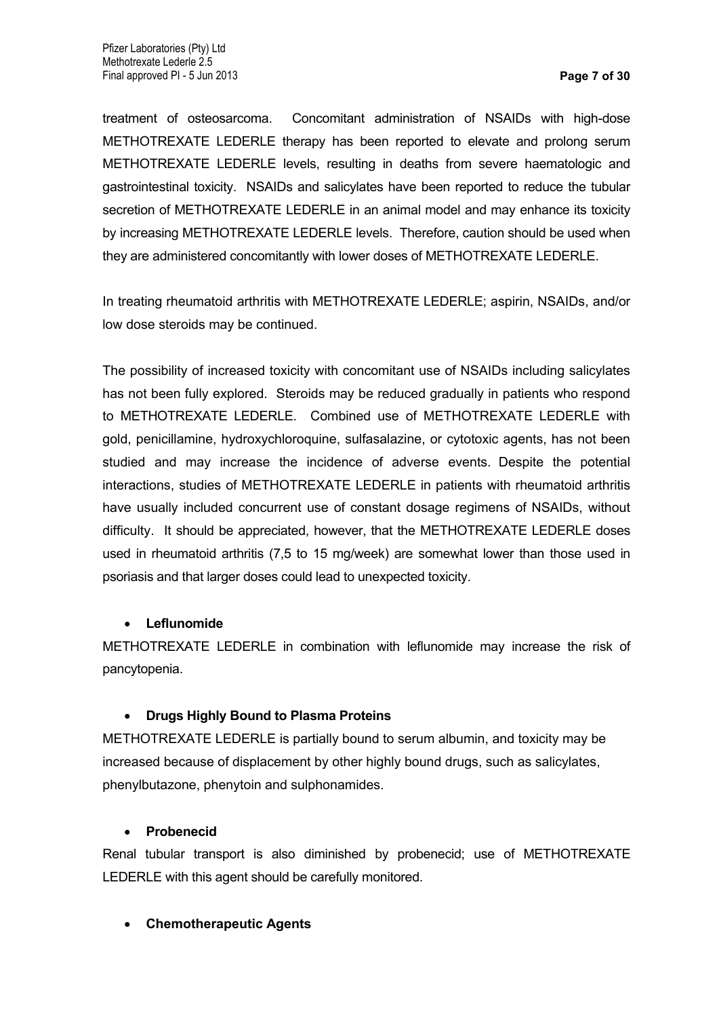treatment of osteosarcoma. Concomitant administration of NSAIDs with high-dose METHOTREXATE LEDERLE therapy has been reported to elevate and prolong serum METHOTREXATE LEDERLE levels, resulting in deaths from severe haematologic and gastrointestinal toxicity. NSAIDs and salicylates have been reported to reduce the tubular secretion of METHOTREXATE LEDERLE in an animal model and may enhance its toxicity by increasing METHOTREXATE LEDERLE levels. Therefore, caution should be used when they are administered concomitantly with lower doses of METHOTREXATE LEDERLE.

In treating rheumatoid arthritis with METHOTREXATE LEDERLE; aspirin, NSAIDs, and/or low dose steroids may be continued.

The possibility of increased toxicity with concomitant use of NSAIDs including salicylates has not been fully explored. Steroids may be reduced gradually in patients who respond to METHOTREXATE LEDERLE. Combined use of METHOTREXATE LEDERLE with gold, penicillamine, hydroxychloroquine, sulfasalazine, or cytotoxic agents, has not been studied and may increase the incidence of adverse events. Despite the potential interactions, studies of METHOTREXATE LEDERLE in patients with rheumatoid arthritis have usually included concurrent use of constant dosage regimens of NSAIDs, without difficulty. It should be appreciated, however, that the METHOTREXATE LEDERLE doses used in rheumatoid arthritis (7,5 to 15 mg/week) are somewhat lower than those used in psoriasis and that larger doses could lead to unexpected toxicity.

### **Leflunomide**

METHOTREXATE LEDERLE in combination with leflunomide may increase the risk of pancytopenia.

# **Drugs Highly Bound to Plasma Proteins**

METHOTREXATE LEDERLE is partially bound to serum albumin, and toxicity may be increased because of displacement by other highly bound drugs, such as salicylates, phenylbutazone, phenytoin and sulphonamides.

### **Probenecid**

Renal tubular transport is also diminished by probenecid; use of METHOTREXATE LEDERLE with this agent should be carefully monitored.

# **Chemotherapeutic Agents**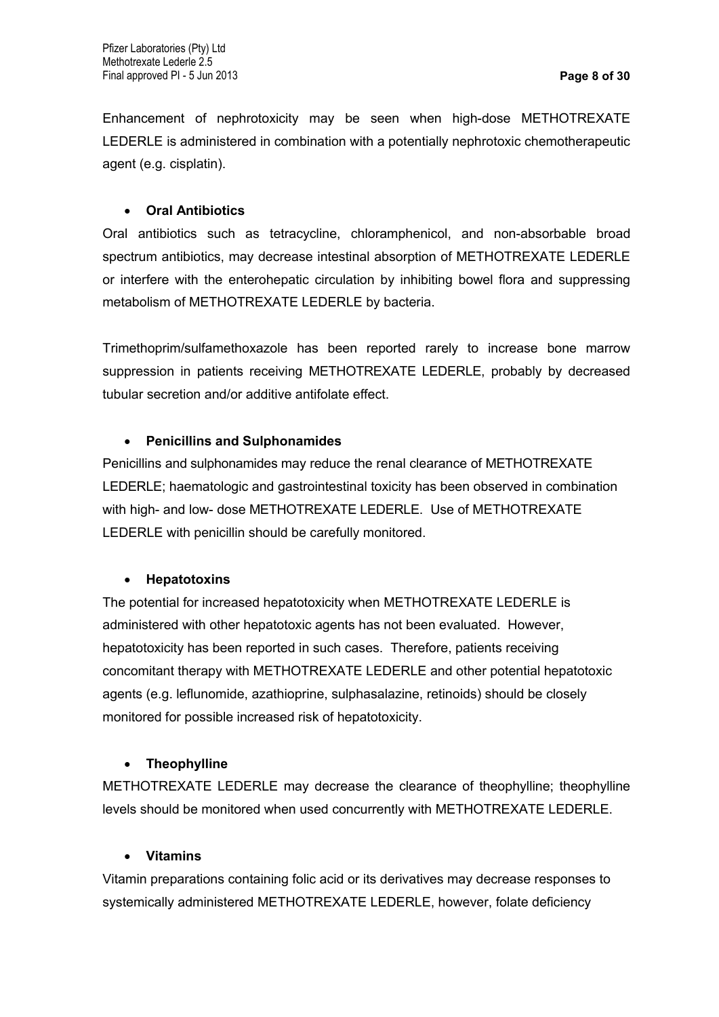Enhancement of nephrotoxicity may be seen when high-dose METHOTREXATE LEDERLE is administered in combination with a potentially nephrotoxic chemotherapeutic agent (e.g. cisplatin).

### **Oral Antibiotics**

Oral antibiotics such as tetracycline, chloramphenicol, and non-absorbable broad spectrum antibiotics, may decrease intestinal absorption of METHOTREXATE LEDERLE or interfere with the enterohepatic circulation by inhibiting bowel flora and suppressing metabolism of METHOTREXATE LEDERLE by bacteria.

Trimethoprim/sulfamethoxazole has been reported rarely to increase bone marrow suppression in patients receiving METHOTREXATE LEDERLE, probably by decreased tubular secretion and/or additive antifolate effect.

### **Penicillins and Sulphonamides**

Penicillins and sulphonamides may reduce the renal clearance of METHOTREXATE LEDERLE; haematologic and gastrointestinal toxicity has been observed in combination with high- and low- dose METHOTREXATE LEDERLE. Use of METHOTREXATE LEDERLE with penicillin should be carefully monitored.

# **Hepatotoxins**

The potential for increased hepatotoxicity when METHOTREXATE LEDERLE is administered with other hepatotoxic agents has not been evaluated. However, hepatotoxicity has been reported in such cases. Therefore, patients receiving concomitant therapy with METHOTREXATE LEDERLE and other potential hepatotoxic agents (e.g. leflunomide, azathioprine, sulphasalazine, retinoids) should be closely monitored for possible increased risk of hepatotoxicity.

# **Theophylline**

METHOTREXATE LEDERLE may decrease the clearance of theophylline; theophylline levels should be monitored when used concurrently with METHOTREXATE LEDERLE.

### **Vitamins**

Vitamin preparations containing folic acid or its derivatives may decrease responses to systemically administered METHOTREXATE LEDERLE, however, folate deficiency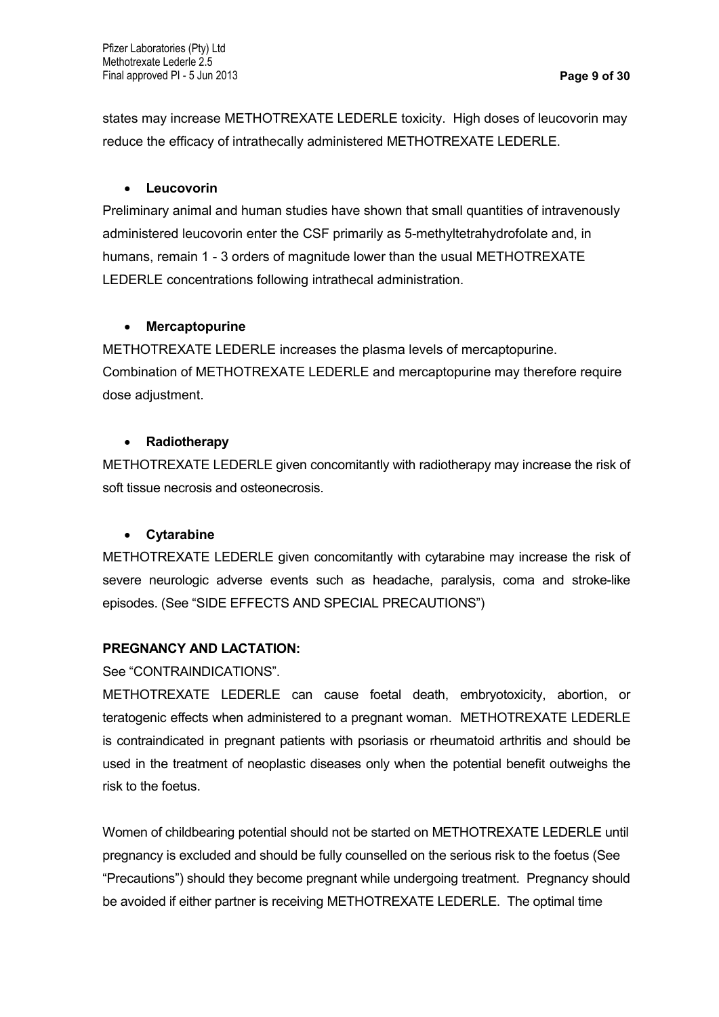states may increase METHOTREXATE LEDERLE toxicity. High doses of leucovorin may reduce the efficacy of intrathecally administered METHOTREXATE LEDERLE.

### **Leucovorin**

Preliminary animal and human studies have shown that small quantities of intravenously administered leucovorin enter the CSF primarily as 5-methyltetrahydrofolate and, in humans, remain 1 - 3 orders of magnitude lower than the usual METHOTREXATE LEDERLE concentrations following intrathecal administration.

### **Mercaptopurine**

METHOTREXATE LEDERLE increases the plasma levels of mercaptopurine. Combination of METHOTREXATE LEDERLE and mercaptopurine may therefore require dose adjustment.

### **Radiotherapy**

METHOTREXATE LEDERLE given concomitantly with radiotherapy may increase the risk of soft tissue necrosis and osteonecrosis.

# **Cytarabine**

METHOTREXATE LEDERLE given concomitantly with cytarabine may increase the risk of severe neurologic adverse events such as headache, paralysis, coma and stroke-like episodes. (See "SIDE EFFECTS AND SPECIAL PRECAUTIONS")

# **PREGNANCY AND LACTATION:**

See "CONTRAINDICATIONS".

METHOTREXATE LEDERLE can cause foetal death, embryotoxicity, abortion, or teratogenic effects when administered to a pregnant woman. METHOTREXATE LEDERLE is contraindicated in pregnant patients with psoriasis or rheumatoid arthritis and should be used in the treatment of neoplastic diseases only when the potential benefit outweighs the risk to the foetus.

Women of childbearing potential should not be started on METHOTREXATE LEDERLE until pregnancy is excluded and should be fully counselled on the serious risk to the foetus (See "Precautions") should they become pregnant while undergoing treatment. Pregnancy should be avoided if either partner is receiving METHOTREXATE LEDERLE. The optimal time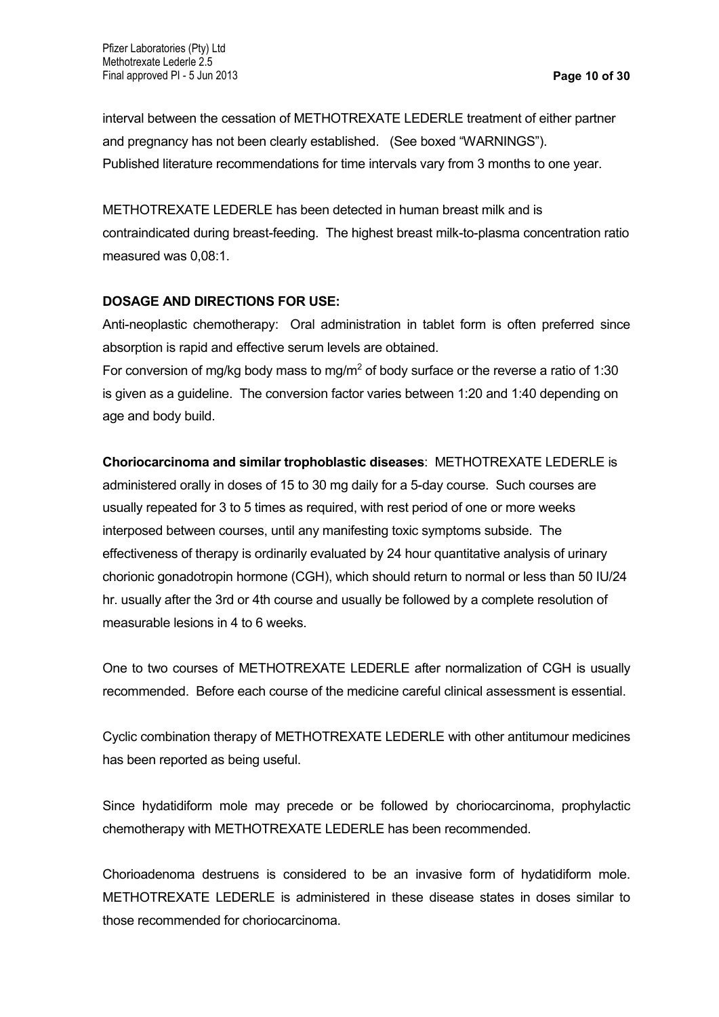interval between the cessation of METHOTREXATE LEDERLE treatment of either partner and pregnancy has not been clearly established. (See boxed "WARNINGS"). Published literature recommendations for time intervals vary from 3 months to one year.

METHOTREXATE LEDERLE has been detected in human breast milk and is contraindicated during breast-feeding. The highest breast milk-to-plasma concentration ratio measured was 0,08:1.

### **DOSAGE AND DIRECTIONS FOR USE:**

Anti-neoplastic chemotherapy: Oral administration in tablet form is often preferred since absorption is rapid and effective serum levels are obtained.

For conversion of mg/kg body mass to mg/m<sup>2</sup> of body surface or the reverse a ratio of 1:30 is given as a guideline. The conversion factor varies between 1:20 and 1:40 depending on age and body build.

### **Choriocarcinoma and similar trophoblastic diseases**: METHOTREXATE LEDERLE is

administered orally in doses of 15 to 30 mg daily for a 5-day course. Such courses are usually repeated for 3 to 5 times as required, with rest period of one or more weeks interposed between courses, until any manifesting toxic symptoms subside. The effectiveness of therapy is ordinarily evaluated by 24 hour quantitative analysis of urinary chorionic gonadotropin hormone (CGH), which should return to normal or less than 50 IU/24 hr. usually after the 3rd or 4th course and usually be followed by a complete resolution of measurable lesions in 4 to 6 weeks.

One to two courses of METHOTREXATE LEDERLE after normalization of CGH is usually recommended. Before each course of the medicine careful clinical assessment is essential.

Cyclic combination therapy of METHOTREXATE LEDERLE with other antitumour medicines has been reported as being useful.

Since hydatidiform mole may precede or be followed by choriocarcinoma, prophylactic chemotherapy with METHOTREXATE LEDERLE has been recommended.

Chorioadenoma destruens is considered to be an invasive form of hydatidiform mole. METHOTREXATE LEDERLE is administered in these disease states in doses similar to those recommended for choriocarcinoma.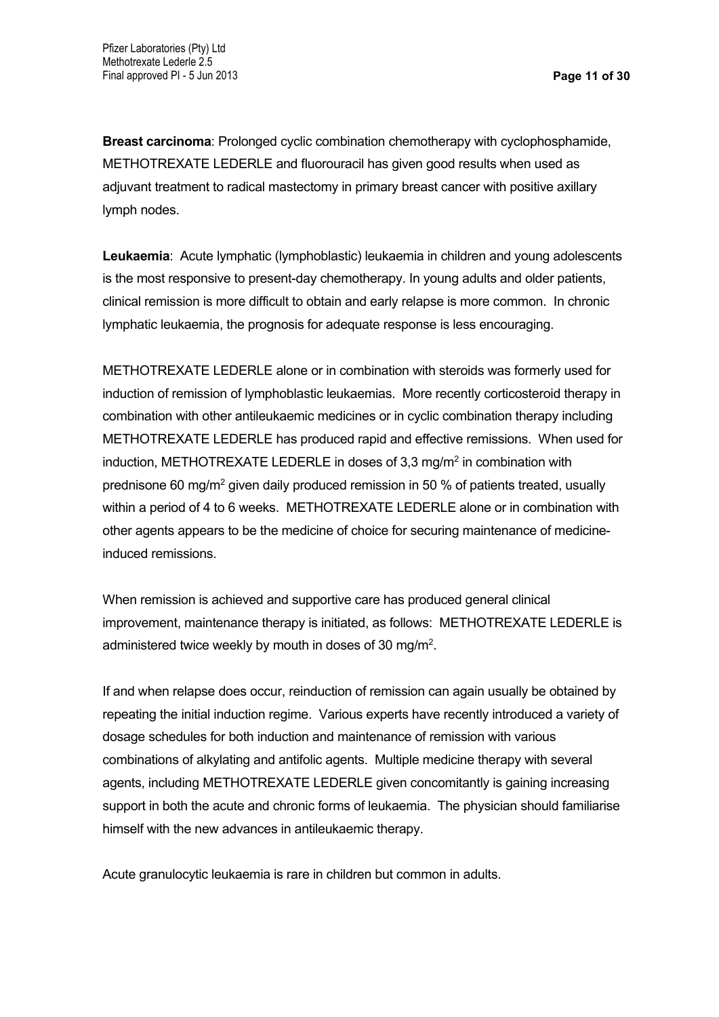**Breast carcinoma**: Prolonged cyclic combination chemotherapy with cyclophosphamide, METHOTREXATE LEDERLE and fluorouracil has given good results when used as adjuvant treatment to radical mastectomy in primary breast cancer with positive axillary lymph nodes.

**Leukaemia**: Acute lymphatic (lymphoblastic) leukaemia in children and young adolescents is the most responsive to present-day chemotherapy. In young adults and older patients, clinical remission is more difficult to obtain and early relapse is more common. In chronic lymphatic leukaemia, the prognosis for adequate response is less encouraging.

METHOTREXATE LEDERLE alone or in combination with steroids was formerly used for induction of remission of lymphoblastic leukaemias. More recently corticosteroid therapy in combination with other antileukaemic medicines or in cyclic combination therapy including METHOTREXATE LEDERLE has produced rapid and effective remissions. When used for induction, METHOTREXATE LEDERLE in doses of 3,3 mg/m<sup>2</sup> in combination with prednisone 60 mg/m<sup>2</sup> given daily produced remission in 50 % of patients treated, usually within a period of 4 to 6 weeks. METHOTREXATE LEDERLE alone or in combination with other agents appears to be the medicine of choice for securing maintenance of medicineinduced remissions.

When remission is achieved and supportive care has produced general clinical improvement, maintenance therapy is initiated, as follows: METHOTREXATE LEDERLE is administered twice weekly by mouth in doses of 30 mg/m<sup>2</sup>.

If and when relapse does occur, reinduction of remission can again usually be obtained by repeating the initial induction regime. Various experts have recently introduced a variety of dosage schedules for both induction and maintenance of remission with various combinations of alkylating and antifolic agents. Multiple medicine therapy with several agents, including METHOTREXATE LEDERLE given concomitantly is gaining increasing support in both the acute and chronic forms of leukaemia. The physician should familiarise himself with the new advances in antileukaemic therapy.

Acute granulocytic leukaemia is rare in children but common in adults.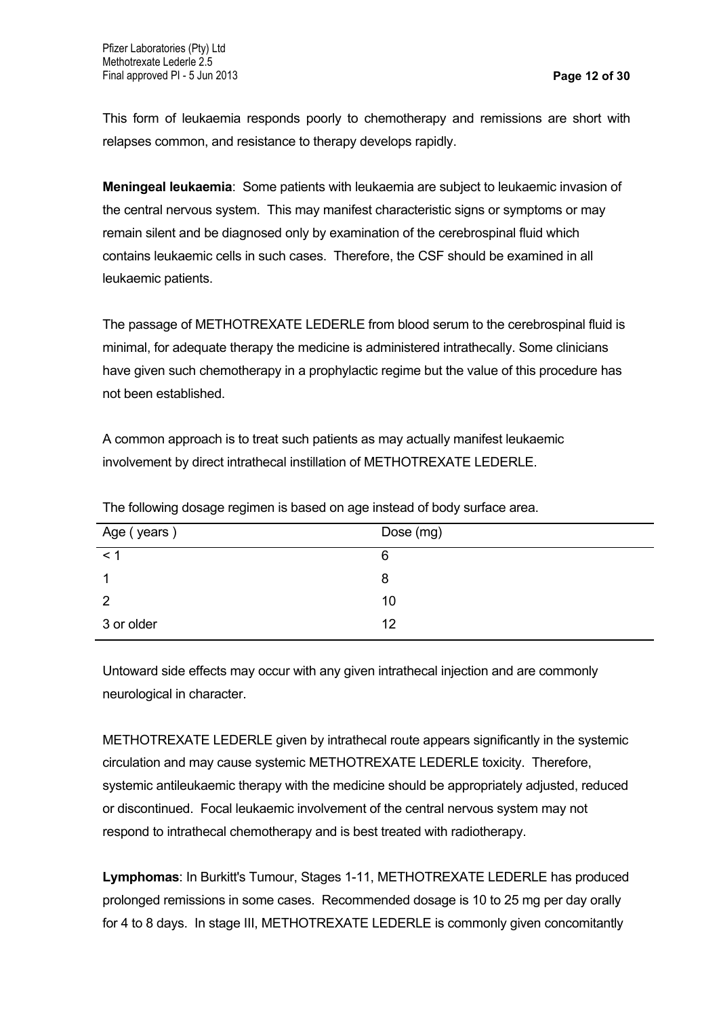This form of leukaemia responds poorly to chemotherapy and remissions are short with relapses common, and resistance to therapy develops rapidly.

**Meningeal leukaemia**: Some patients with leukaemia are subject to leukaemic invasion of the central nervous system. This may manifest characteristic signs or symptoms or may remain silent and be diagnosed only by examination of the cerebrospinal fluid which contains leukaemic cells in such cases. Therefore, the CSF should be examined in all leukaemic patients.

The passage of METHOTREXATE LEDERLE from blood serum to the cerebrospinal fluid is minimal, for adequate therapy the medicine is administered intrathecally. Some clinicians have given such chemotherapy in a prophylactic regime but the value of this procedure has not been established.

A common approach is to treat such patients as may actually manifest leukaemic involvement by direct intrathecal instillation of METHOTREXATE LEDERLE.

| Age (years)   | Dose (mg) |
|---------------|-----------|
| $\leq$ $\sim$ | 6         |
|               | 8         |
| 2             | 10        |
| 3 or older    | 12        |

The following dosage regimen is based on age instead of body surface area.

Untoward side effects may occur with any given intrathecal injection and are commonly neurological in character.

METHOTREXATE LEDERLE given by intrathecal route appears significantly in the systemic circulation and may cause systemic METHOTREXATE LEDERLE toxicity. Therefore, systemic antileukaemic therapy with the medicine should be appropriately adjusted, reduced or discontinued. Focal leukaemic involvement of the central nervous system may not respond to intrathecal chemotherapy and is best treated with radiotherapy.

**Lymphomas**: In Burkitt's Tumour, Stages 1-11, METHOTREXATE LEDERLE has produced prolonged remissions in some cases. Recommended dosage is 10 to 25 mg per day orally for 4 to 8 days. In stage III, METHOTREXATE LEDERLE is commonly given concomitantly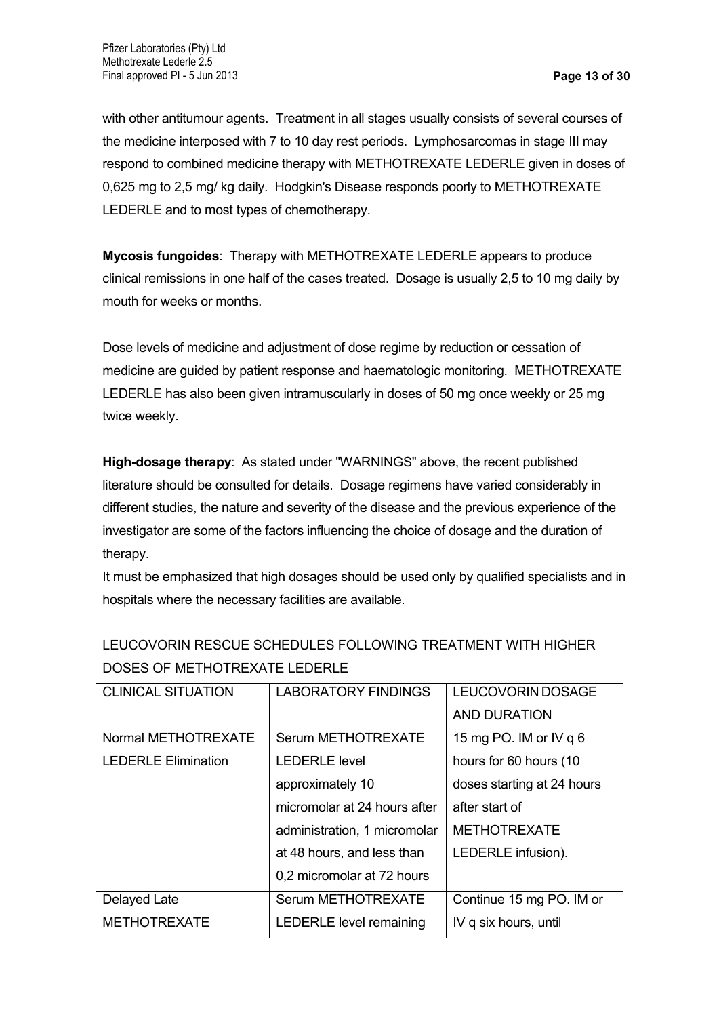with other antitumour agents. Treatment in all stages usually consists of several courses of the medicine interposed with 7 to 10 day rest periods. Lymphosarcomas in stage III may respond to combined medicine therapy with METHOTREXATE LEDERLE given in doses of 0,625 mg to 2,5 mg/ kg daily. Hodgkin's Disease responds poorly to METHOTREXATE LEDERLE and to most types of chemotherapy.

**Mycosis fungoides**: Therapy with METHOTREXATE LEDERLE appears to produce clinical remissions in one half of the cases treated. Dosage is usually 2,5 to 10 mg daily by mouth for weeks or months.

Dose levels of medicine and adjustment of dose regime by reduction or cessation of medicine are guided by patient response and haematologic monitoring. METHOTREXATE LEDERLE has also been given intramuscularly in doses of 50 mg once weekly or 25 mg twice weekly.

**High-dosage therapy**: As stated under "WARNINGS" above, the recent published literature should be consulted for details. Dosage regimens have varied considerably in different studies, the nature and severity of the disease and the previous experience of the investigator are some of the factors influencing the choice of dosage and the duration of therapy.

It must be emphasized that high dosages should be used only by qualified specialists and in hospitals where the necessary facilities are available.

| <b>CLINICAL SITUATION</b>  | <b>LABORATORY FINDINGS</b>     | LEUCOVORIN DOSAGE          |
|----------------------------|--------------------------------|----------------------------|
|                            |                                | <b>AND DURATION</b>        |
| Normal METHOTREXATE        | Serum METHOTREXATE             | 15 mg PO. IM or IV q 6     |
| <b>LEDERLE Elimination</b> | <b>LEDERLE level</b>           | hours for 60 hours (10     |
|                            | approximately 10               | doses starting at 24 hours |
|                            | micromolar at 24 hours after   | after start of             |
|                            | administration, 1 micromolar   | <b>METHOTREXATE</b>        |
|                            | at 48 hours, and less than     | LEDERLE infusion).         |
|                            | 0,2 micromolar at 72 hours     |                            |
| Delayed Late               | Serum METHOTREXATE             | Continue 15 mg PO. IM or   |
| <b>METHOTREXATE</b>        | <b>LEDERLE level remaining</b> | IV q six hours, until      |

LEUCOVORIN RESCUE SCHEDULES FOLLOWING TREATMENT WITH HIGHER DOSES OF METHOTREXATE LEDERLE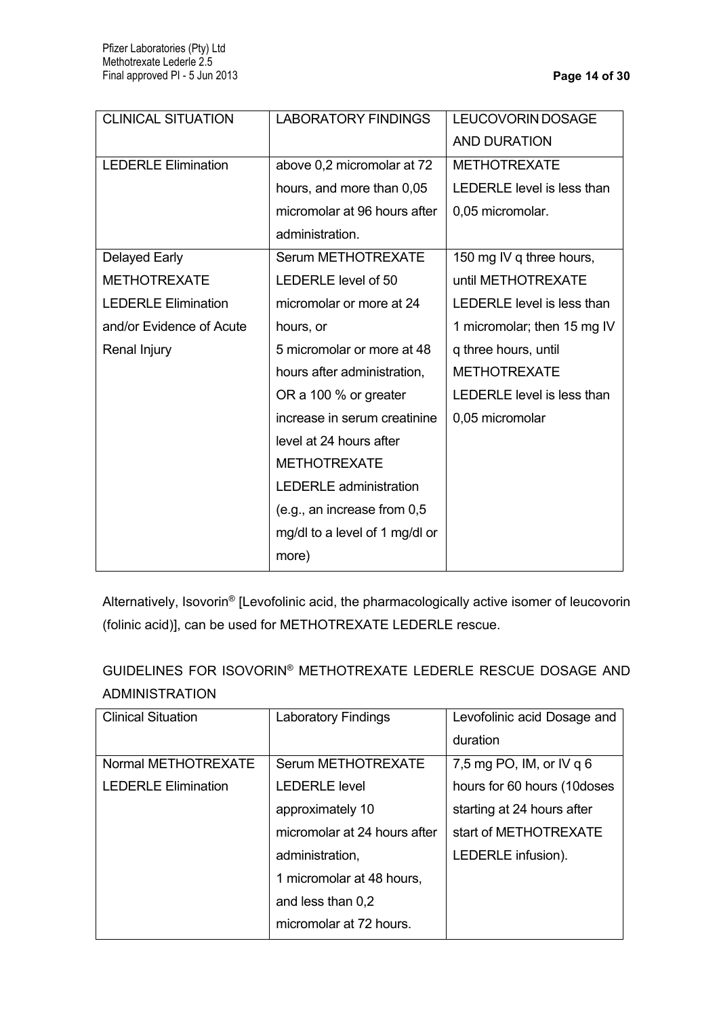| <b>CLINICAL SITUATION</b>  | <b>LABORATORY FINDINGS</b>     | LEUCOVORIN DOSAGE           |
|----------------------------|--------------------------------|-----------------------------|
|                            |                                | <b>AND DURATION</b>         |
| <b>LEDERLE Elimination</b> | above 0,2 micromolar at 72     | <b>METHOTREXATE</b>         |
|                            | hours, and more than 0,05      | LEDERLE level is less than  |
|                            | micromolar at 96 hours after   | 0,05 micromolar.            |
|                            | administration.                |                             |
| <b>Delayed Early</b>       | Serum METHOTREXATE             | 150 mg IV q three hours,    |
| <b>METHOTREXATE</b>        | LEDERLE level of 50            | until METHOTREXATE          |
| <b>LEDERLE Elimination</b> | micromolar or more at 24       | LEDERLE level is less than  |
| and/or Evidence of Acute   | hours, or                      | 1 micromolar; then 15 mg IV |
| Renal Injury               | 5 micromolar or more at 48     | q three hours, until        |
|                            | hours after administration,    | <b>METHOTREXATE</b>         |
|                            | OR a 100 % or greater          | LEDERLE level is less than  |
|                            | increase in serum creatinine   | 0,05 micromolar             |
|                            | level at 24 hours after        |                             |
|                            | <b>METHOTREXATE</b>            |                             |
|                            | <b>LEDERLE</b> administration  |                             |
|                            | (e.g., an increase from $0,5$  |                             |
|                            | mg/dl to a level of 1 mg/dl or |                             |
|                            | more)                          |                             |

Alternatively, Isovorin® [Levofolinic acid, the pharmacologically active isomer of leucovorin (folinic acid)], can be used for METHOTREXATE LEDERLE rescue.

GUIDELINES FOR ISOVORIN® METHOTREXATE LEDERLE RESCUE DOSAGE AND ADMINISTRATION

| <b>Clinical Situation</b>  | <b>Laboratory Findings</b>   | Levofolinic acid Dosage and |
|----------------------------|------------------------------|-----------------------------|
|                            |                              | duration                    |
| Normal METHOTREXATE        | Serum METHOTREXATE           | 7,5 mg PO, IM, or IV q 6    |
| <b>LEDERLE Elimination</b> | <b>LEDERLE level</b>         | hours for 60 hours (10doses |
|                            | approximately 10             | starting at 24 hours after  |
|                            | micromolar at 24 hours after | start of METHOTREXATE       |
|                            | administration,              | LEDERLE infusion).          |
|                            | 1 micromolar at 48 hours,    |                             |
|                            | and less than 0,2            |                             |
|                            | micromolar at 72 hours.      |                             |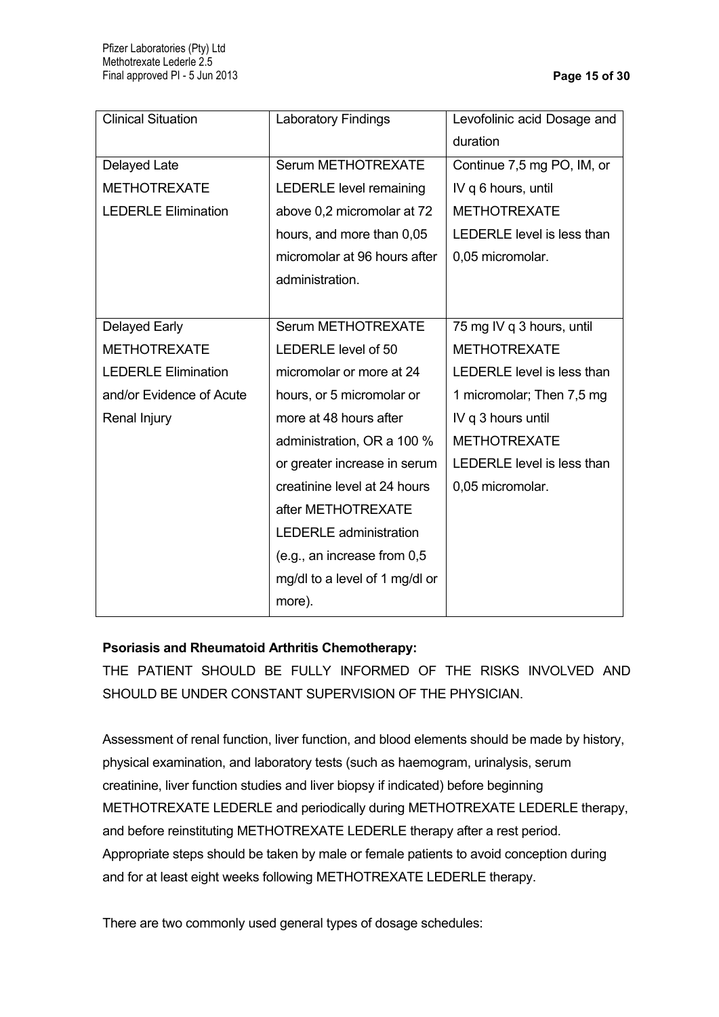| <b>Clinical Situation</b>  | <b>Laboratory Findings</b>     | Levofolinic acid Dosage and |
|----------------------------|--------------------------------|-----------------------------|
|                            |                                | duration                    |
| Delayed Late               | Serum METHOTREXATE             | Continue 7,5 mg PO, IM, or  |
| <b>METHOTREXATE</b>        | <b>LEDERLE level remaining</b> | IV q 6 hours, until         |
| <b>LEDERLE Elimination</b> | above 0,2 micromolar at 72     | <b>METHOTREXATE</b>         |
|                            | hours, and more than 0,05      | LEDERLE level is less than  |
|                            | micromolar at 96 hours after   | 0,05 micromolar.            |
|                            | administration.                |                             |
|                            |                                |                             |
| Delayed Early              | Serum METHOTREXATE             | 75 mg IV q 3 hours, until   |
| <b>METHOTREXATE</b>        | LEDERLE level of 50            | <b>METHOTREXATE</b>         |
| <b>LEDERLE Elimination</b> | micromolar or more at 24       | LEDERLE level is less than  |
| and/or Evidence of Acute   | hours, or 5 micromolar or      | 1 micromolar; Then 7,5 mg   |
| Renal Injury               | more at 48 hours after         | IV q 3 hours until          |
|                            | administration, OR a 100 %     | <b>METHOTREXATE</b>         |
|                            | or greater increase in serum   | LEDERLE level is less than  |
|                            | creatinine level at 24 hours   | 0,05 micromolar.            |
|                            | after METHOTREXATE             |                             |
|                            | <b>LEDERLE</b> administration  |                             |
|                            | (e.g., an increase from 0,5    |                             |
|                            | mg/dl to a level of 1 mg/dl or |                             |
|                            | more).                         |                             |

# **Psoriasis and Rheumatoid Arthritis Chemotherapy:**

THE PATIENT SHOULD BE FULLY INFORMED OF THE RISKS INVOLVED AND SHOULD BE UNDER CONSTANT SUPERVISION OF THE PHYSICIAN.

Assessment of renal function, liver function, and blood elements should be made by history, physical examination, and laboratory tests (such as haemogram, urinalysis, serum creatinine, liver function studies and liver biopsy if indicated) before beginning METHOTREXATE LEDERLE and periodically during METHOTREXATE LEDERLE therapy, and before reinstituting METHOTREXATE LEDERLE therapy after a rest period. Appropriate steps should be taken by male or female patients to avoid conception during and for at least eight weeks following METHOTREXATE LEDERLE therapy.

There are two commonly used general types of dosage schedules: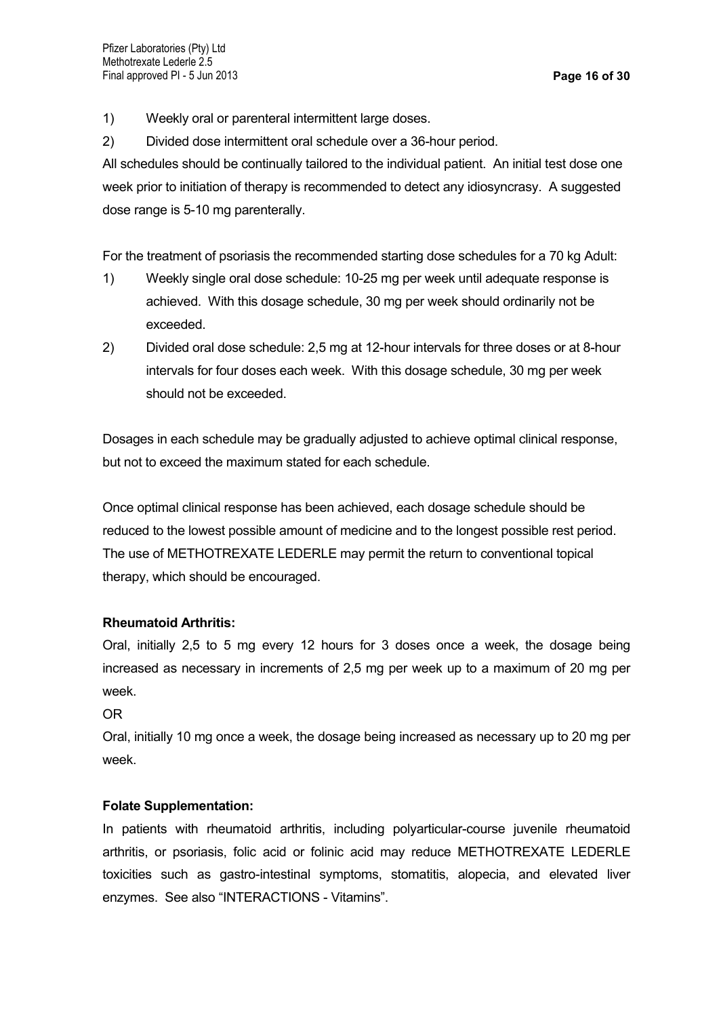- 1) Weekly oral or parenteral intermittent large doses.
- 2) Divided dose intermittent oral schedule over a 36-hour period.

All schedules should be continually tailored to the individual patient. An initial test dose one week prior to initiation of therapy is recommended to detect any idiosyncrasy. A suggested dose range is 5-10 mg parenterally.

For the treatment of psoriasis the recommended starting dose schedules for a 70 kg Adult:

- 1) Weekly single oral dose schedule: 10-25 mg per week until adequate response is achieved. With this dosage schedule, 30 mg per week should ordinarily not be exceeded.
- 2) Divided oral dose schedule: 2,5 mg at 12-hour intervals for three doses or at 8-hour intervals for four doses each week. With this dosage schedule, 30 mg per week should not be exceeded.

Dosages in each schedule may be gradually adjusted to achieve optimal clinical response, but not to exceed the maximum stated for each schedule.

Once optimal clinical response has been achieved, each dosage schedule should be reduced to the lowest possible amount of medicine and to the longest possible rest period. The use of METHOTREXATE LEDERLE may permit the return to conventional topical therapy, which should be encouraged.

### **Rheumatoid Arthritis:**

Oral, initially 2,5 to 5 mg every 12 hours for 3 doses once a week, the dosage being increased as necessary in increments of 2,5 mg per week up to a maximum of 20 mg per week.

OR

Oral, initially 10 mg once a week, the dosage being increased as necessary up to 20 mg per week.

### **Folate Supplementation:**

In patients with rheumatoid arthritis, including polyarticular-course juvenile rheumatoid arthritis, or psoriasis, folic acid or folinic acid may reduce METHOTREXATE LEDERLE toxicities such as gastro-intestinal symptoms, stomatitis, alopecia, and elevated liver enzymes. See also "INTERACTIONS - Vitamins".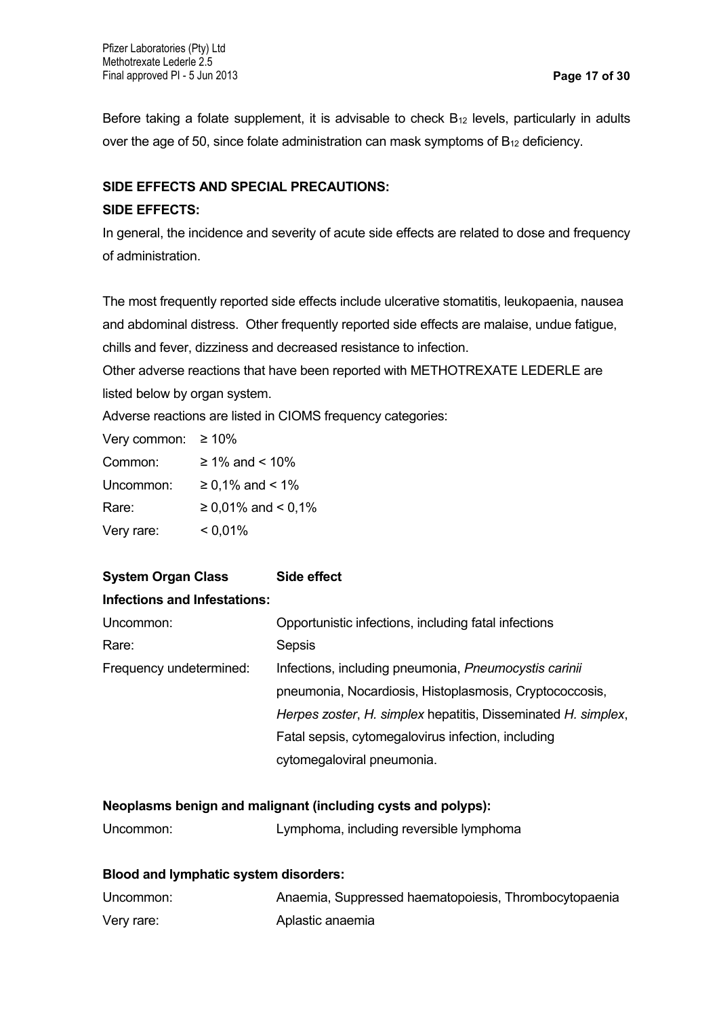Before taking a folate supplement, it is advisable to check  $B_{12}$  levels, particularly in adults over the age of 50, since folate administration can mask symptoms of  $B_{12}$  deficiency.

### **SIDE EFFECTS AND SPECIAL PRECAUTIONS:**

#### **SIDE EFFECTS:**

In general, the incidence and severity of acute side effects are related to dose and frequency of administration.

The most frequently reported side effects include ulcerative stomatitis, leukopaenia, nausea and abdominal distress. Other frequently reported side effects are malaise, undue fatigue, chills and fever, dizziness and decreased resistance to infection.

Other adverse reactions that have been reported with METHOTREXATE LEDERLE are listed below by organ system.

Adverse reactions are listed in CIOMS frequency categories:

Very common:  $\geq 10\%$ 

| Common:    | $≥ 1\%$ and < 10%  |
|------------|--------------------|
| Uncommon:  | $≥ 0,1%$ and < 1%  |
| Rare:      | ≥ 0,01% and < 0,1% |
| Very rare: | $< 0.01\%$         |

# **System Organ Class Side effect Infections and Infestations:** Uncommon: Opportunistic infections, including fatal infections Rare: Sepsis Frequency undetermined: Infections, including pneumonia, *Pneumocystis carinii* pneumonia, Nocardiosis, Histoplasmosis, Cryptococcosis,

*Herpes zoster*, *H. simplex* hepatitis, Disseminated *H. simplex*, Fatal sepsis, cytomegalovirus infection, including cytomegaloviral pneumonia.

### **Neoplasms benign and malignant (including cysts and polyps):**

| Uncommon: | Lymphoma, including reversible lymphoma |  |  |
|-----------|-----------------------------------------|--|--|
|           |                                         |  |  |

#### **Blood and lymphatic system disorders:**

| Uncommon:  | Anaemia, Suppressed haematopoiesis, Thrombocytopaenia |
|------------|-------------------------------------------------------|
| Very rare: | Aplastic anaemia                                      |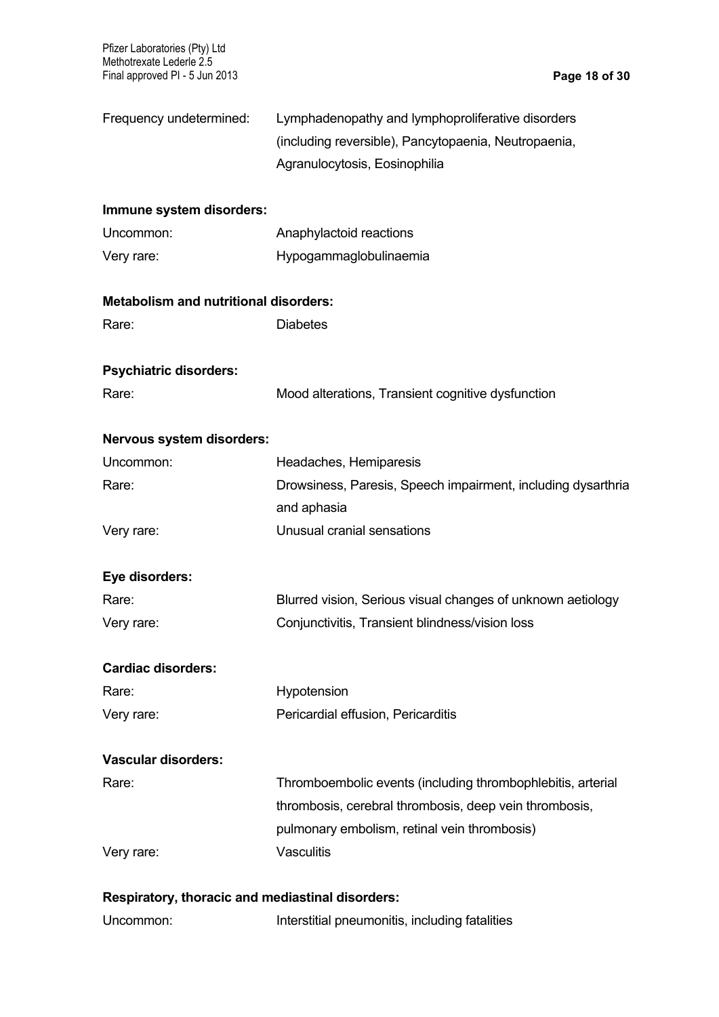Pfizer Laboratories (Pty) Ltd Methotrexate Lederle 2.5 Final approved PI - 5 Jun 2013 **Page 18 of 30**

| Frequency undetermined:                      | Lymphadenopathy and lymphoproliferative disorders<br>(including reversible), Pancytopaenia, Neutropaenia,<br>Agranulocytosis, Eosinophilia |
|----------------------------------------------|--------------------------------------------------------------------------------------------------------------------------------------------|
| Immune system disorders:                     |                                                                                                                                            |
| Uncommon:                                    | Anaphylactoid reactions                                                                                                                    |
| Very rare:                                   | Hypogammaglobulinaemia                                                                                                                     |
| <b>Metabolism and nutritional disorders:</b> |                                                                                                                                            |
| Rare:                                        | <b>Diabetes</b>                                                                                                                            |
| <b>Psychiatric disorders:</b>                |                                                                                                                                            |
| Rare:                                        | Mood alterations, Transient cognitive dysfunction                                                                                          |
| Nervous system disorders:                    |                                                                                                                                            |
| Uncommon:                                    | Headaches, Hemiparesis                                                                                                                     |
| Rare:                                        | Drowsiness, Paresis, Speech impairment, including dysarthria                                                                               |
|                                              | and aphasia                                                                                                                                |
| Very rare:                                   | Unusual cranial sensations                                                                                                                 |
| Eye disorders:                               |                                                                                                                                            |
| Rare:                                        | Blurred vision, Serious visual changes of unknown aetiology                                                                                |
| Very rare:                                   | Conjunctivitis, Transient blindness/vision loss                                                                                            |
| <b>Cardiac disorders:</b>                    |                                                                                                                                            |
| Rare:                                        | Hypotension                                                                                                                                |
| Very rare:                                   | Pericardial effusion, Pericarditis                                                                                                         |
| <b>Vascular disorders:</b>                   |                                                                                                                                            |
| Rare:                                        | Thromboembolic events (including thrombophlebitis, arterial                                                                                |
|                                              | thrombosis, cerebral thrombosis, deep vein thrombosis,                                                                                     |
|                                              | pulmonary embolism, retinal vein thrombosis)                                                                                               |
| Very rare:                                   | <b>Vasculitis</b>                                                                                                                          |
|                                              |                                                                                                                                            |

# **Respiratory, thoracic and mediastinal disorders:**

Uncommon: **Interstitial pneumonitis, including fatalities**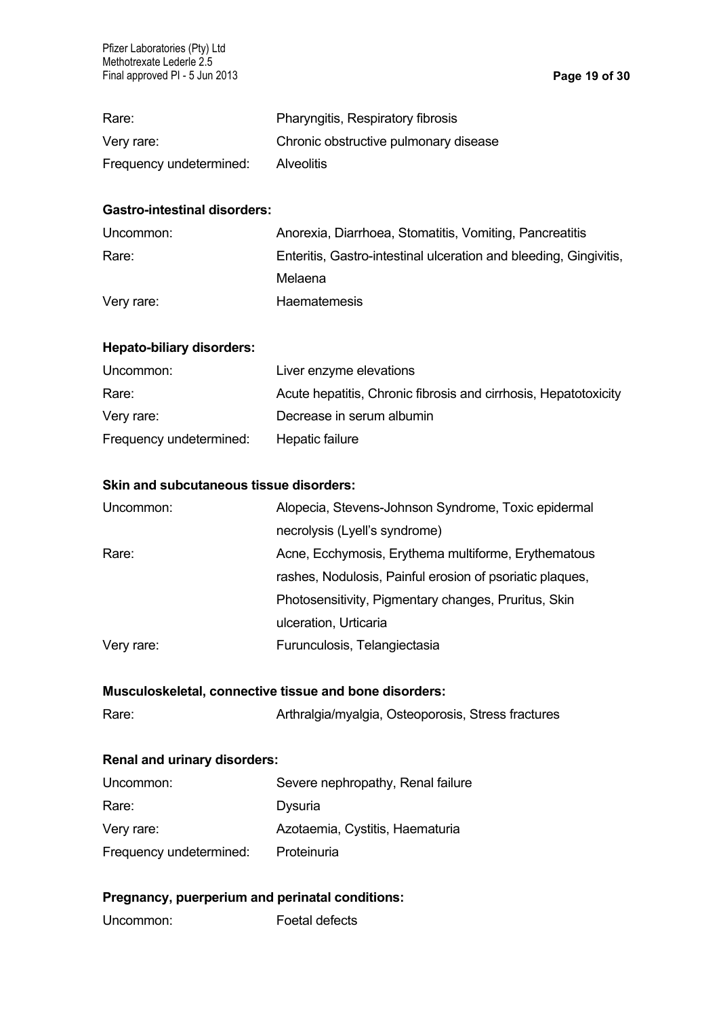| Rare:                   | Pharyngitis, Respiratory fibrosis     |
|-------------------------|---------------------------------------|
| Very rare:              | Chronic obstructive pulmonary disease |
| Frequency undetermined: | <b>Alveolitis</b>                     |

### **Gastro-intestinal disorders:**

| Uncommon:  | Anorexia, Diarrhoea, Stomatitis, Vomiting, Pancreatitis           |
|------------|-------------------------------------------------------------------|
| Rare:      | Enteritis, Gastro-intestinal ulceration and bleeding, Gingivitis, |
|            | Melaena                                                           |
| Very rare: | <b>Haematemesis</b>                                               |

### **Hepato-biliary disorders:**

| Uncommon:               | Liver enzyme elevations                                         |
|-------------------------|-----------------------------------------------------------------|
| Rare:                   | Acute hepatitis, Chronic fibrosis and cirrhosis, Hepatotoxicity |
| Very rare:              | Decrease in serum albumin                                       |
| Frequency undetermined: | Hepatic failure                                                 |

### **Skin and subcutaneous tissue disorders:**

| Uncommon:  | Alopecia, Stevens-Johnson Syndrome, Toxic epidermal      |
|------------|----------------------------------------------------------|
|            | necrolysis (Lyell's syndrome)                            |
| Rare:      | Acne, Ecchymosis, Erythema multiforme, Erythematous      |
|            | rashes, Nodulosis, Painful erosion of psoriatic plaques, |
|            | Photosensitivity, Pigmentary changes, Pruritus, Skin     |
|            | ulceration, Urticaria                                    |
| Very rare: | Furunculosis, Telangiectasia                             |

### **Musculoskeletal, connective tissue and bone disorders:**

| Rare: | Arthralgia/myalgia, Osteoporosis, Stress fractures |
|-------|----------------------------------------------------|
|-------|----------------------------------------------------|

### **Renal and urinary disorders:**

| Uncommon:               | Severe nephropathy, Renal failure |
|-------------------------|-----------------------------------|
| Rare:                   | Dysuria                           |
| Very rare:              | Azotaemia, Cystitis, Haematuria   |
| Frequency undetermined: | Proteinuria                       |

# **Pregnancy, puerperium and perinatal conditions:**

Uncommon: Foetal defects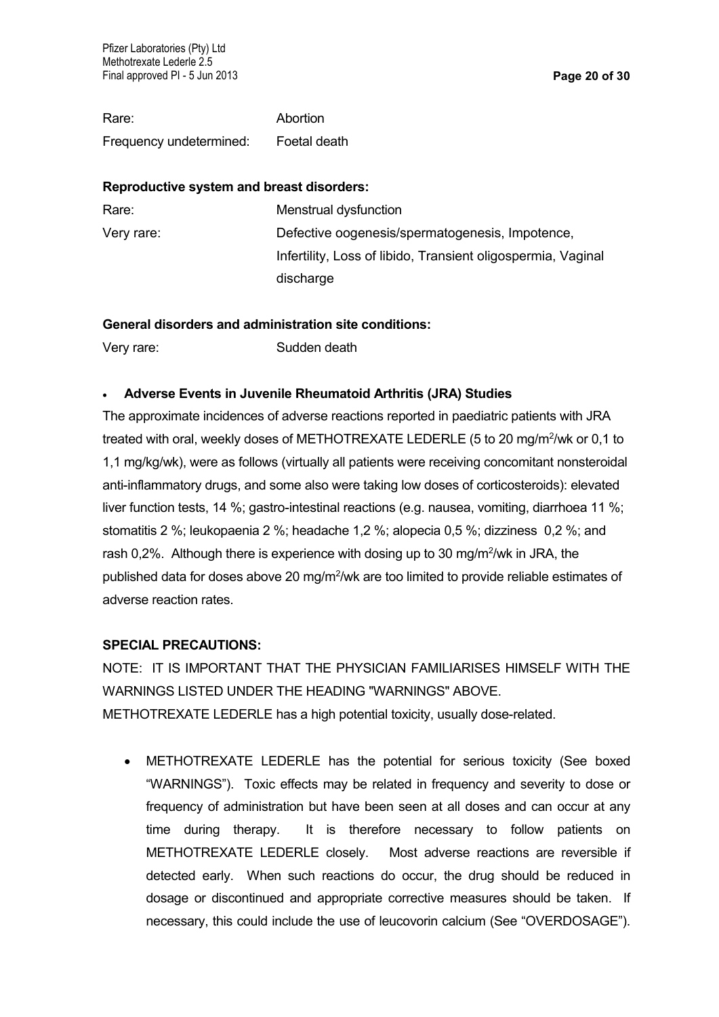Rare: Abortion Frequency undetermined: Foetal death

#### **Reproductive system and breast disorders:**

| Rare:      | Menstrual dysfunction                                        |
|------------|--------------------------------------------------------------|
| Very rare: | Defective oogenesis/spermatogenesis, Impotence,              |
|            | Infertility, Loss of libido, Transient oligospermia, Vaginal |
|            | discharge                                                    |

### **General disorders and administration site conditions:**

Very rare: Sudden death

### **Adverse Events in Juvenile Rheumatoid Arthritis (JRA) Studies**

The approximate incidences of adverse reactions reported in paediatric patients with JRA treated with oral, weekly doses of METHOTREXATE LEDERLE (5 to 20 mg/m<sup>2</sup>/wk or 0,1 to 1,1 mg/kg/wk), were as follows (virtually all patients were receiving concomitant nonsteroidal anti-inflammatory drugs, and some also were taking low doses of corticosteroids): elevated liver function tests, 14 %; gastro-intestinal reactions (e.g. nausea, vomiting, diarrhoea 11 %; stomatitis 2 %; leukopaenia 2 %; headache 1,2 %; alopecia 0,5 %; dizziness 0,2 %; and rash 0,2%. Although there is experience with dosing up to 30 mg/m<sup>2</sup>/wk in JRA, the published data for doses above 20 mg/m<sup>2</sup>/wk are too limited to provide reliable estimates of adverse reaction rates.

### **SPECIAL PRECAUTIONS:**

NOTE: IT IS IMPORTANT THAT THE PHYSICIAN FAMILIARISES HIMSELF WITH THE WARNINGS LISTED UNDER THE HEADING "WARNINGS" ABOVE. METHOTREXATE LEDERLE has a high potential toxicity, usually dose-related.

 METHOTREXATE LEDERLE has the potential for serious toxicity (See boxed "WARNINGS"). Toxic effects may be related in frequency and severity to dose or frequency of administration but have been seen at all doses and can occur at any time during therapy. It is therefore necessary to follow patients on METHOTREXATE LEDERLE closely. Most adverse reactions are reversible if detected early. When such reactions do occur, the drug should be reduced in dosage or discontinued and appropriate corrective measures should be taken. If necessary, this could include the use of leucovorin calcium (See "OVERDOSAGE").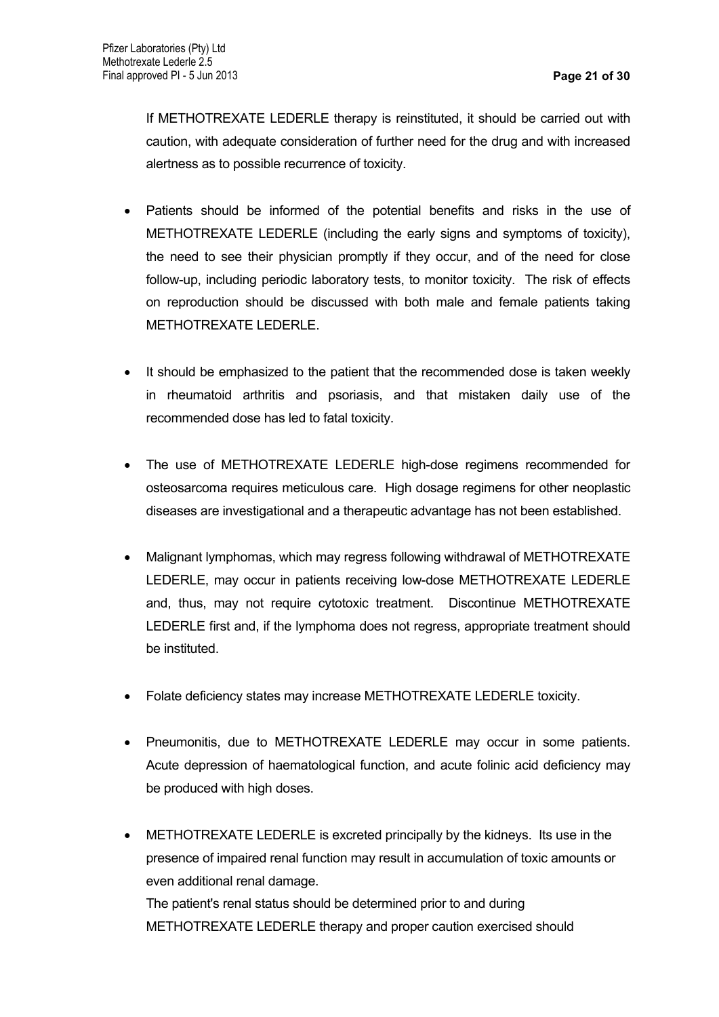If METHOTREXATE LEDERLE therapy is reinstituted, it should be carried out with caution, with adequate consideration of further need for the drug and with increased alertness as to possible recurrence of toxicity.

- Patients should be informed of the potential benefits and risks in the use of METHOTREXATE LEDERLE (including the early signs and symptoms of toxicity), the need to see their physician promptly if they occur, and of the need for close follow-up, including periodic laboratory tests, to monitor toxicity. The risk of effects on reproduction should be discussed with both male and female patients taking METHOTREXATE LEDERLE.
- It should be emphasized to the patient that the recommended dose is taken weekly in rheumatoid arthritis and psoriasis, and that mistaken daily use of the recommended dose has led to fatal toxicity.
- The use of METHOTREXATE LEDERLE high-dose regimens recommended for osteosarcoma requires meticulous care. High dosage regimens for other neoplastic diseases are investigational and a therapeutic advantage has not been established.
- Malignant lymphomas, which may regress following withdrawal of METHOTREXATE LEDERLE, may occur in patients receiving low-dose METHOTREXATE LEDERLE and, thus, may not require cytotoxic treatment. Discontinue METHOTREXATE LEDERLE first and, if the lymphoma does not regress, appropriate treatment should be instituted.
- Folate deficiency states may increase METHOTREXATE LEDERLE toxicity.
- Pneumonitis, due to METHOTREXATE LEDERLE may occur in some patients. Acute depression of haematological function, and acute folinic acid deficiency may be produced with high doses.
- METHOTREXATE LEDERLE is excreted principally by the kidneys. Its use in the presence of impaired renal function may result in accumulation of toxic amounts or even additional renal damage. The patient's renal status should be determined prior to and during METHOTREXATE LEDERLE therapy and proper caution exercised should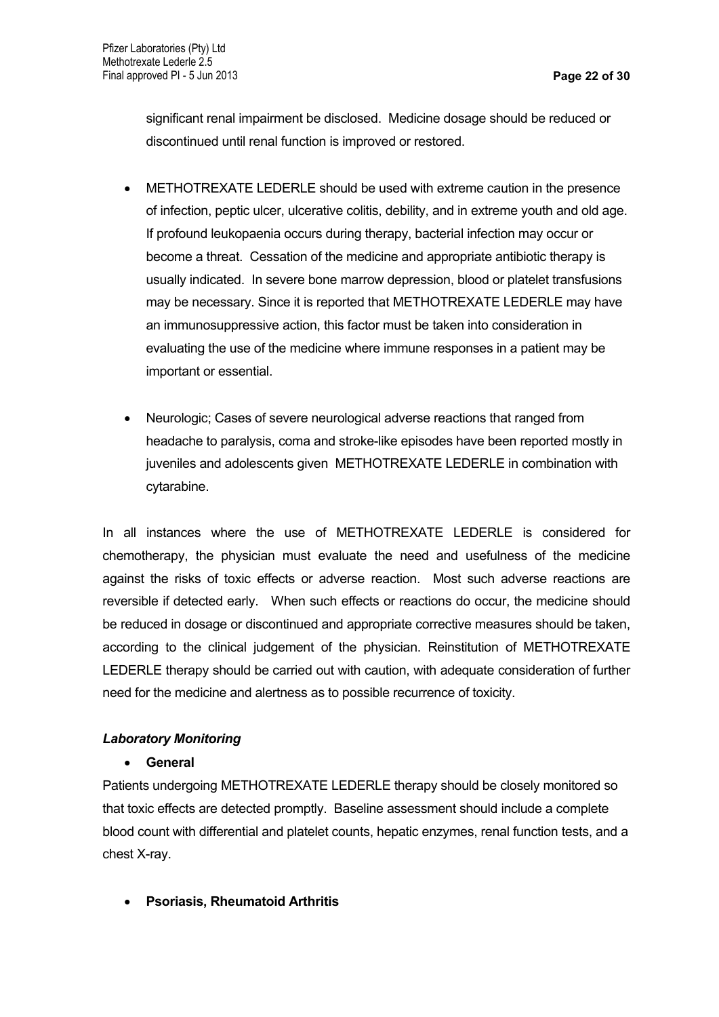significant renal impairment be disclosed. Medicine dosage should be reduced or discontinued until renal function is improved or restored.

- METHOTREXATE LEDERLE should be used with extreme caution in the presence of infection, peptic ulcer, ulcerative colitis, debility, and in extreme youth and old age. If profound leukopaenia occurs during therapy, bacterial infection may occur or become a threat. Cessation of the medicine and appropriate antibiotic therapy is usually indicated. In severe bone marrow depression, blood or platelet transfusions may be necessary. Since it is reported that METHOTREXATE LEDERLE may have an immunosuppressive action, this factor must be taken into consideration in evaluating the use of the medicine where immune responses in a patient may be important or essential.
- Neurologic; Cases of severe neurological adverse reactions that ranged from headache to paralysis, coma and stroke-like episodes have been reported mostly in juveniles and adolescents given METHOTREXATE LEDERLE in combination with cytarabine.

In all instances where the use of METHOTREXATE LEDERLE is considered for chemotherapy, the physician must evaluate the need and usefulness of the medicine against the risks of toxic effects or adverse reaction. Most such adverse reactions are reversible if detected early. When such effects or reactions do occur, the medicine should be reduced in dosage or discontinued and appropriate corrective measures should be taken, according to the clinical judgement of the physician. Reinstitution of METHOTREXATE LEDERLE therapy should be carried out with caution, with adequate consideration of further need for the medicine and alertness as to possible recurrence of toxicity.

# *Laboratory Monitoring*

### **General**

Patients undergoing METHOTREXATE LEDERLE therapy should be closely monitored so that toxic effects are detected promptly. Baseline assessment should include a complete blood count with differential and platelet counts, hepatic enzymes, renal function tests, and a chest X-ray.

**Psoriasis, Rheumatoid Arthritis**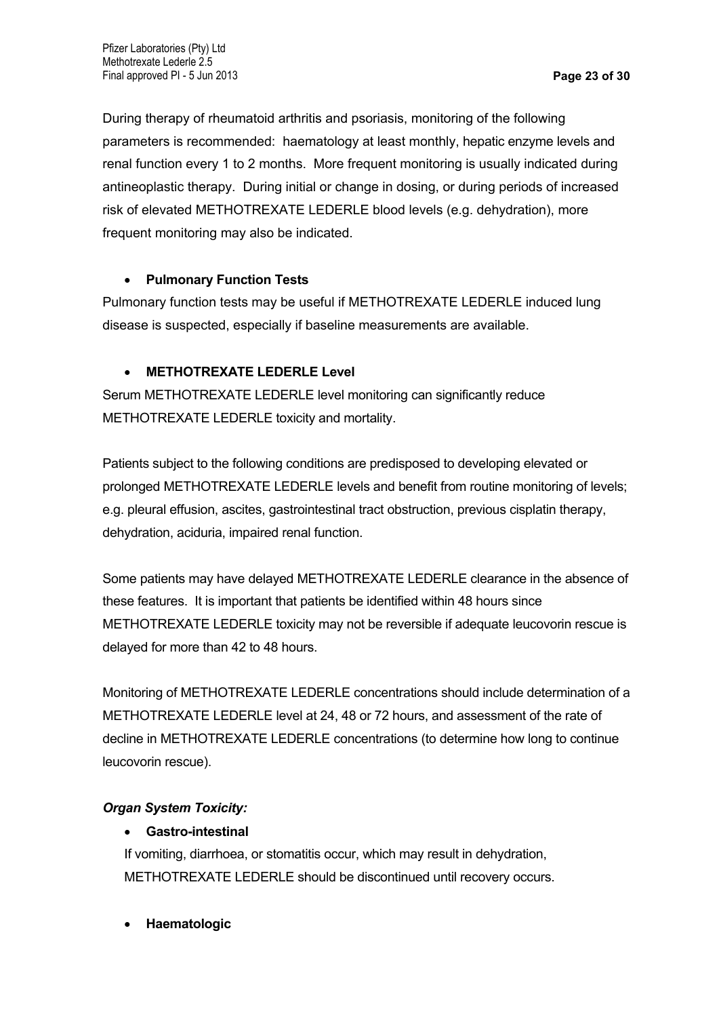During therapy of rheumatoid arthritis and psoriasis, monitoring of the following parameters is recommended: haematology at least monthly, hepatic enzyme levels and renal function every 1 to 2 months. More frequent monitoring is usually indicated during antineoplastic therapy. During initial or change in dosing, or during periods of increased risk of elevated METHOTREXATE LEDERLE blood levels (e.g. dehydration), more frequent monitoring may also be indicated.

# **Pulmonary Function Tests**

Pulmonary function tests may be useful if METHOTREXATE LEDERLE induced lung disease is suspected, especially if baseline measurements are available.

# **METHOTREXATE LEDERLE Level**

Serum METHOTREXATE LEDERLE level monitoring can significantly reduce METHOTREXATE LEDERLE toxicity and mortality.

Patients subject to the following conditions are predisposed to developing elevated or prolonged METHOTREXATE LEDERLE levels and benefit from routine monitoring of levels; e.g. pleural effusion, ascites, gastrointestinal tract obstruction, previous cisplatin therapy, dehydration, aciduria, impaired renal function.

Some patients may have delayed METHOTREXATE LEDERLE clearance in the absence of these features. It is important that patients be identified within 48 hours since METHOTREXATE LEDERLE toxicity may not be reversible if adequate leucovorin rescue is delayed for more than 42 to 48 hours.

Monitoring of METHOTREXATE LEDERLE concentrations should include determination of a METHOTREXATE LEDERLE level at 24, 48 or 72 hours, and assessment of the rate of decline in METHOTREXATE LEDERLE concentrations (to determine how long to continue leucovorin rescue).

# *Organ System Toxicity:*

# **Gastro-intestinal**

If vomiting, diarrhoea, or stomatitis occur, which may result in dehydration, METHOTREXATE LEDERLE should be discontinued until recovery occurs.

**Haematologic**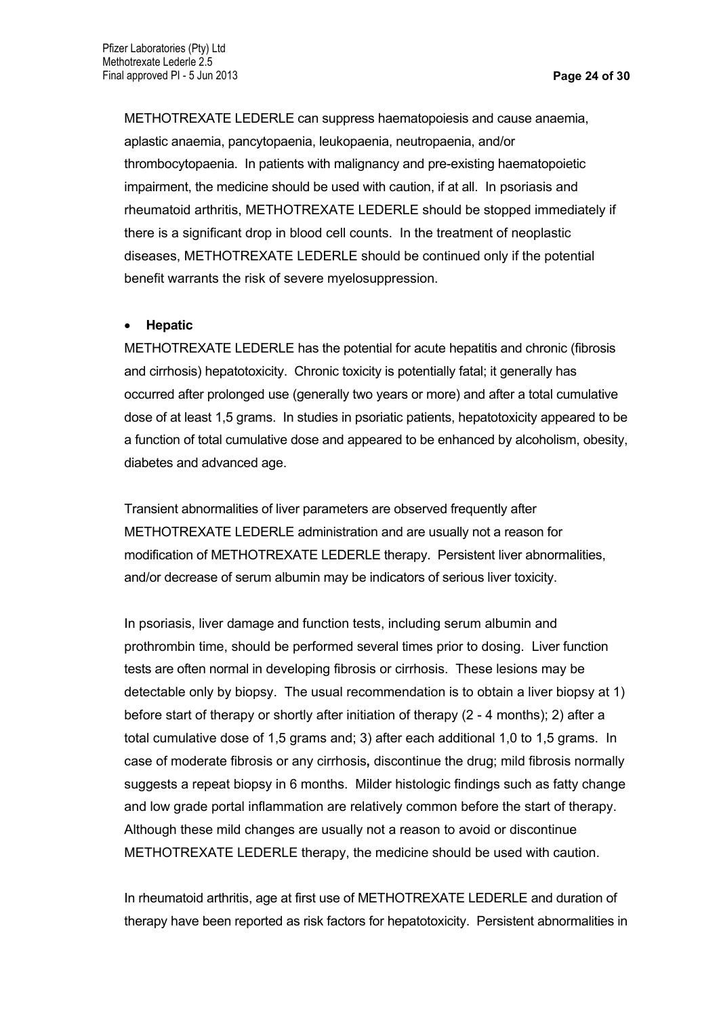METHOTREXATE LEDERLE can suppress haematopoiesis and cause anaemia, aplastic anaemia, pancytopaenia, leukopaenia, neutropaenia, and/or thrombocytopaenia. In patients with malignancy and pre-existing haematopoietic impairment, the medicine should be used with caution, if at all. In psoriasis and rheumatoid arthritis, METHOTREXATE LEDERLE should be stopped immediately if there is a significant drop in blood cell counts. In the treatment of neoplastic diseases, METHOTREXATE LEDERLE should be continued only if the potential benefit warrants the risk of severe myelosuppression.

### **Hepatic**

METHOTREXATE LEDERLE has the potential for acute hepatitis and chronic (fibrosis and cirrhosis) hepatotoxicity. Chronic toxicity is potentially fatal; it generally has occurred after prolonged use (generally two years or more) and after a total cumulative dose of at least 1,5 grams. In studies in psoriatic patients, hepatotoxicity appeared to be a function of total cumulative dose and appeared to be enhanced by alcoholism, obesity, diabetes and advanced age.

Transient abnormalities of liver parameters are observed frequently after METHOTREXATE LEDERLE administration and are usually not a reason for modification of METHOTREXATE LEDERLE therapy. Persistent liver abnormalities, and/or decrease of serum albumin may be indicators of serious liver toxicity.

In psoriasis, liver damage and function tests, including serum albumin and prothrombin time, should be performed several times prior to dosing. Liver function tests are often normal in developing fibrosis or cirrhosis. These lesions may be detectable only by biopsy. The usual recommendation is to obtain a liver biopsy at 1) before start of therapy or shortly after initiation of therapy (2 - 4 months); 2) after a total cumulative dose of 1,5 grams and; 3) after each additional 1,0 to 1,5 grams. In case of moderate fibrosis or any cirrhosis**,** discontinue the drug; mild fibrosis normally suggests a repeat biopsy in 6 months. Milder histologic findings such as fatty change and low grade portal inflammation are relatively common before the start of therapy. Although these mild changes are usually not a reason to avoid or discontinue METHOTREXATE LEDERLE therapy, the medicine should be used with caution.

In rheumatoid arthritis, age at first use of METHOTREXATE LEDERLE and duration of therapy have been reported as risk factors for hepatotoxicity. Persistent abnormalities in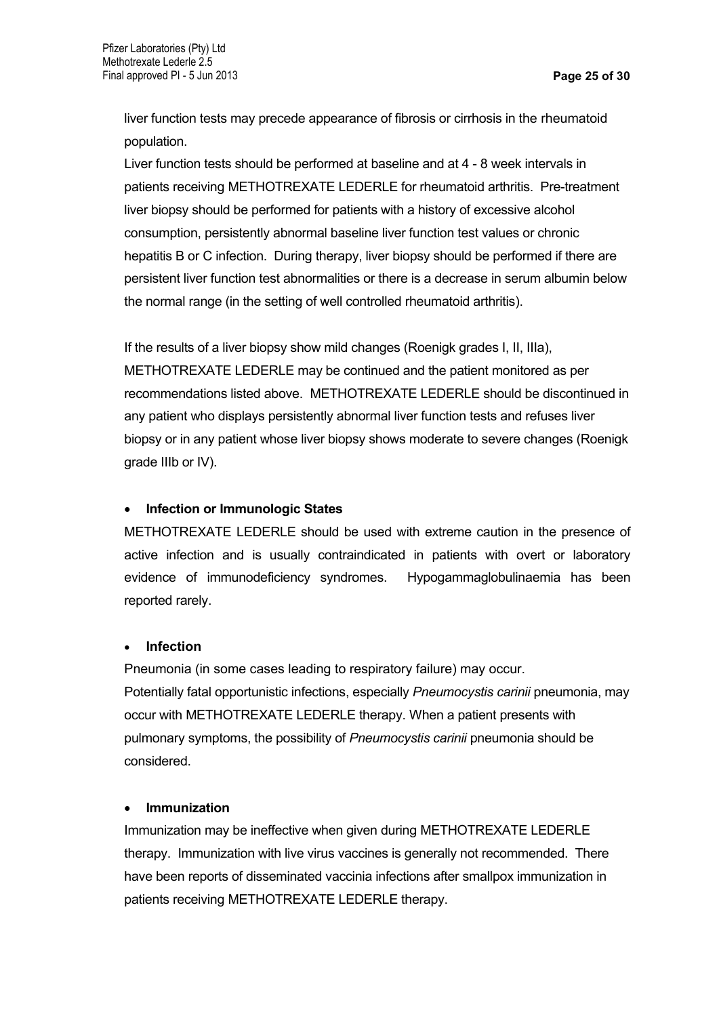liver function tests may precede appearance of fibrosis or cirrhosis in the rheumatoid population.

Liver function tests should be performed at baseline and at 4 - 8 week intervals in patients receiving METHOTREXATE LEDERLE for rheumatoid arthritis. Pre-treatment liver biopsy should be performed for patients with a history of excessive alcohol consumption, persistently abnormal baseline liver function test values or chronic hepatitis B or C infection. During therapy, liver biopsy should be performed if there are persistent liver function test abnormalities or there is a decrease in serum albumin below the normal range (in the setting of well controlled rheumatoid arthritis).

If the results of a liver biopsy show mild changes (Roenigk grades I, II, IIIa), METHOTREXATE LEDERLE may be continued and the patient monitored as per recommendations listed above. METHOTREXATE LEDERLE should be discontinued in any patient who displays persistently abnormal liver function tests and refuses liver biopsy or in any patient whose liver biopsy shows moderate to severe changes (Roenigk grade IIIb or IV).

### **Infection or Immunologic States**

METHOTREXATE LEDERLE should be used with extreme caution in the presence of active infection and is usually contraindicated in patients with overt or laboratory evidence of immunodeficiency syndromes. Hypogammaglobulinaemia has been reported rarely.

### **Infection**

Pneumonia (in some cases leading to respiratory failure) may occur. Potentially fatal opportunistic infections, especially *Pneumocystis carinii* pneumonia, may occur with METHOTREXATE LEDERLE therapy. When a patient presents with pulmonary symptoms, the possibility of *Pneumocystis carinii* pneumonia should be considered.

### **Immunization**

Immunization may be ineffective when given during METHOTREXATE LEDERLE therapy. Immunization with live virus vaccines is generally not recommended. There have been reports of disseminated vaccinia infections after smallpox immunization in patients receiving METHOTREXATE LEDERLE therapy.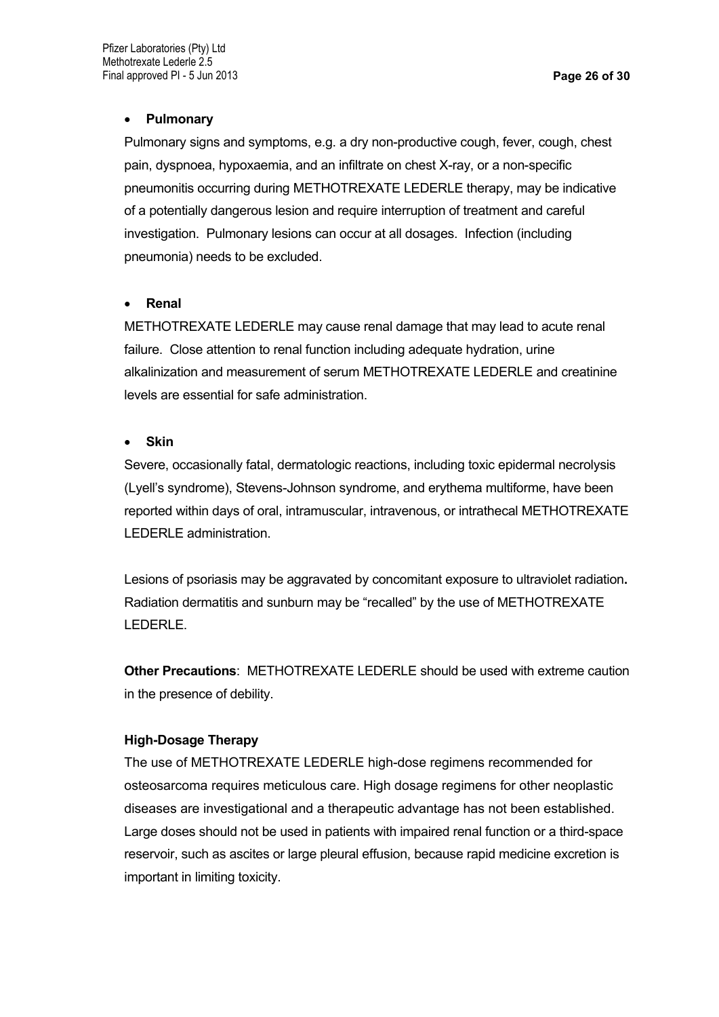### **Pulmonary**

Pulmonary signs and symptoms, e.g. a dry non-productive cough, fever, cough, chest pain, dyspnoea, hypoxaemia, and an infiltrate on chest X-ray, or a non-specific pneumonitis occurring during METHOTREXATE LEDERLE therapy, may be indicative of a potentially dangerous lesion and require interruption of treatment and careful investigation. Pulmonary lesions can occur at all dosages. Infection (including pneumonia) needs to be excluded.

### **Renal**

METHOTREXATE LEDERLE may cause renal damage that may lead to acute renal failure. Close attention to renal function including adequate hydration, urine alkalinization and measurement of serum METHOTREXATE LEDERLE and creatinine levels are essential for safe administration.

### **Skin**

Severe, occasionally fatal, dermatologic reactions, including toxic epidermal necrolysis (Lyell's syndrome), Stevens-Johnson syndrome, and erythema multiforme, have been reported within days of oral, intramuscular, intravenous, or intrathecal METHOTREXATE LEDERLE administration.

Lesions of psoriasis may be aggravated by concomitant exposure to ultraviolet radiation**.**  Radiation dermatitis and sunburn may be "recalled" by the use of METHOTREXATE LEDERLE.

**Other Precautions**: METHOTREXATE LEDERLE should be used with extreme caution in the presence of debility.

### **High-Dosage Therapy**

The use of METHOTREXATE LEDERLE high-dose regimens recommended for osteosarcoma requires meticulous care. High dosage regimens for other neoplastic diseases are investigational and a therapeutic advantage has not been established. Large doses should not be used in patients with impaired renal function or a third-space reservoir, such as ascites or large pleural effusion, because rapid medicine excretion is important in limiting toxicity.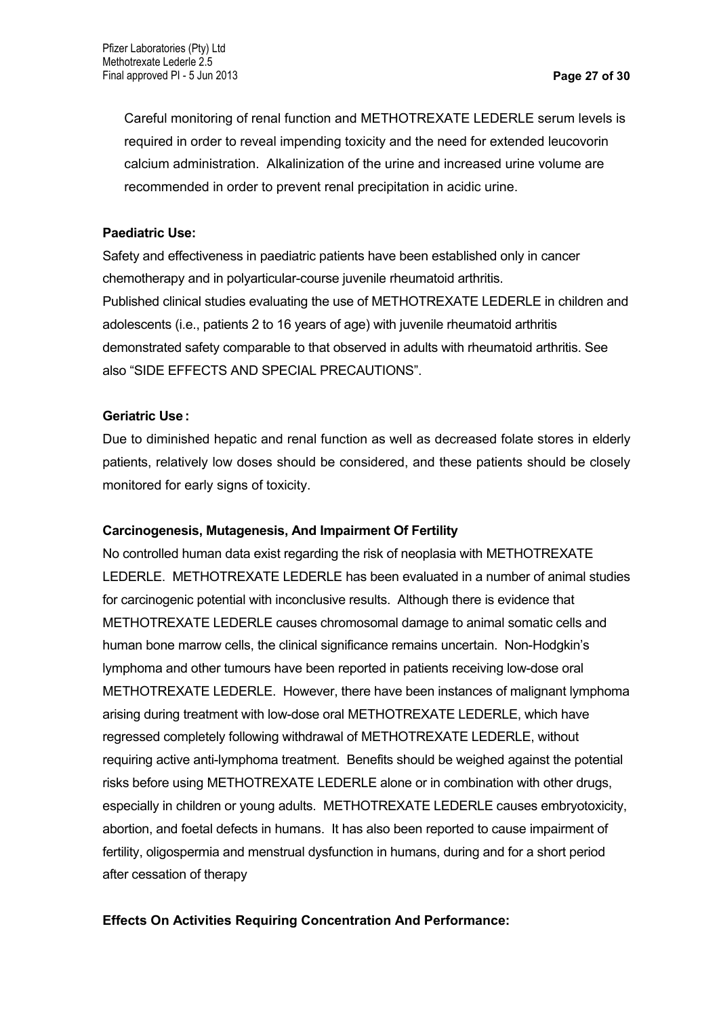Careful monitoring of renal function and METHOTREXATE LEDERLE serum levels is required in order to reveal impending toxicity and the need for extended leucovorin calcium administration. Alkalinization of the urine and increased urine volume are recommended in order to prevent renal precipitation in acidic urine.

### **Paediatric Use:**

Safety and effectiveness in paediatric patients have been established only in cancer chemotherapy and in polyarticular-course juvenile rheumatoid arthritis. Published clinical studies evaluating the use of METHOTREXATE LEDERLE in children and adolescents (i.e., patients 2 to 16 years of age) with juvenile rheumatoid arthritis demonstrated safety comparable to that observed in adults with rheumatoid arthritis. See also "SIDE EFFECTS AND SPECIAL PRECAUTIONS".

### **Geriatric Use :**

Due to diminished hepatic and renal function as well as decreased folate stores in elderly patients, relatively low doses should be considered, and these patients should be closely monitored for early signs of toxicity.

#### **Carcinogenesis, Mutagenesis, And Impairment Of Fertility**

No controlled human data exist regarding the risk of neoplasia with METHOTREXATE LEDERLE. METHOTREXATE LEDERLE has been evaluated in a number of animal studies for carcinogenic potential with inconclusive results. Although there is evidence that METHOTREXATE LEDERLE causes chromosomal damage to animal somatic cells and human bone marrow cells, the clinical significance remains uncertain. Non-Hodgkin's lymphoma and other tumours have been reported in patients receiving low-dose oral METHOTREXATE LEDERLE. However, there have been instances of malignant lymphoma arising during treatment with low-dose oral METHOTREXATE LEDERLE, which have regressed completely following withdrawal of METHOTREXATE LEDERLE, without requiring active anti-lymphoma treatment. Benefits should be weighed against the potential risks before using METHOTREXATE LEDERLE alone or in combination with other drugs, especially in children or young adults. METHOTREXATE LEDERLE causes embryotoxicity, abortion, and foetal defects in humans. It has also been reported to cause impairment of fertility, oligospermia and menstrual dysfunction in humans, during and for a short period after cessation of therapy

### **Effects On Activities Requiring Concentration And Performance:**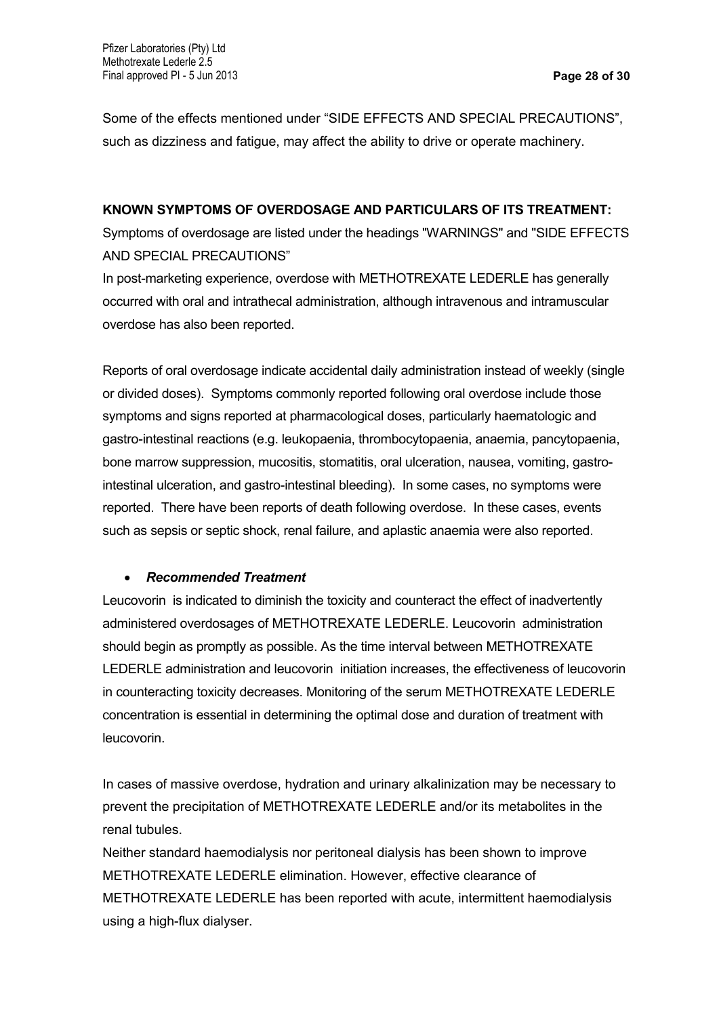Some of the effects mentioned under "SIDE EFFECTS AND SPECIAL PRECAUTIONS", such as dizziness and fatigue, may affect the ability to drive or operate machinery.

### **KNOWN SYMPTOMS OF OVERDOSAGE AND PARTICULARS OF ITS TREATMENT:**

Symptoms of overdosage are listed under the headings "WARNINGS" and "SIDE EFFECTS AND SPECIAL PRECAUTIONS"

In post-marketing experience, overdose with METHOTREXATE LEDERLE has generally occurred with oral and intrathecal administration, although intravenous and intramuscular overdose has also been reported.

Reports of oral overdosage indicate accidental daily administration instead of weekly (single or divided doses). Symptoms commonly reported following oral overdose include those symptoms and signs reported at pharmacological doses, particularly haematologic and gastro-intestinal reactions (e.g. leukopaenia, thrombocytopaenia, anaemia, pancytopaenia, bone marrow suppression, mucositis, stomatitis, oral ulceration, nausea, vomiting, gastrointestinal ulceration, and gastro-intestinal bleeding). In some cases, no symptoms were reported. There have been reports of death following overdose. In these cases, events such as sepsis or septic shock, renal failure, and aplastic anaemia were also reported.

### *Recommended Treatment*

Leucovorin is indicated to diminish the toxicity and counteract the effect of inadvertently administered overdosages of METHOTREXATE LEDERLE. Leucovorin administration should begin as promptly as possible. As the time interval between METHOTREXATE LEDERLE administration and leucovorin initiation increases, the effectiveness of leucovorin in counteracting toxicity decreases. Monitoring of the serum METHOTREXATE LEDERLE concentration is essential in determining the optimal dose and duration of treatment with leucovorin.

In cases of massive overdose, hydration and urinary alkalinization may be necessary to prevent the precipitation of METHOTREXATE LEDERLE and/or its metabolites in the renal tubules.

Neither standard haemodialysis nor peritoneal dialysis has been shown to improve METHOTREXATE LEDERLE elimination. However, effective clearance of METHOTREXATE LEDERLE has been reported with acute, intermittent haemodialysis using a high-flux dialyser.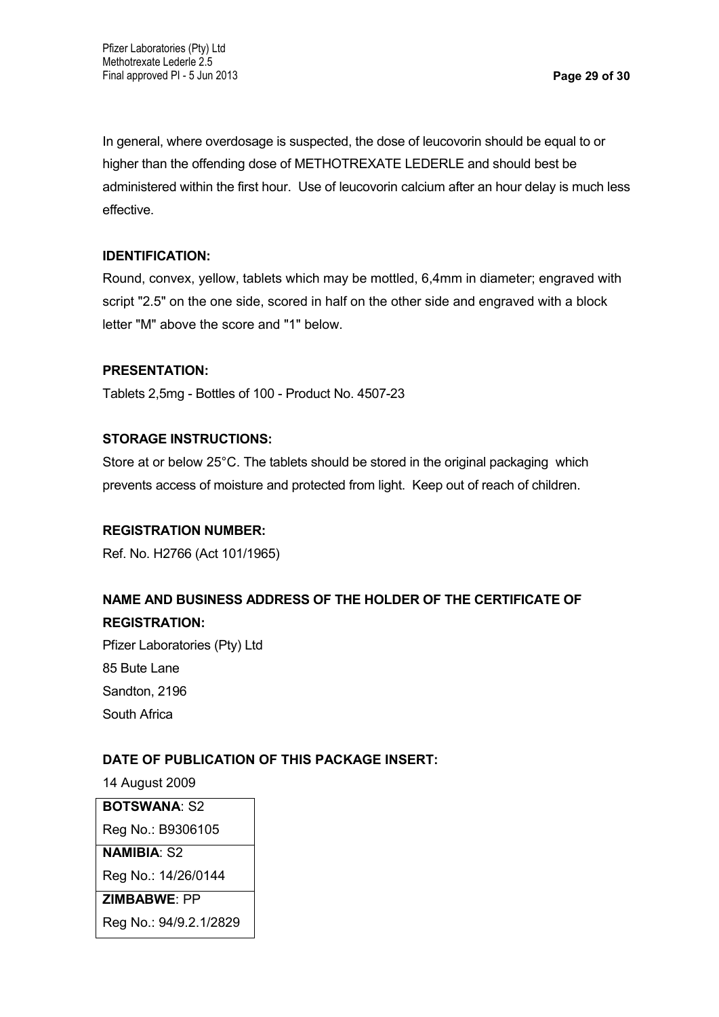In general, where overdosage is suspected, the dose of leucovorin should be equal to or higher than the offending dose of METHOTREXATE LEDERLE and should best be administered within the first hour. Use of leucovorin calcium after an hour delay is much less effective.

### **IDENTIFICATION:**

Round, convex, yellow, tablets which may be mottled, 6,4mm in diameter; engraved with script "2.5" on the one side, scored in half on the other side and engraved with a block letter "M" above the score and "1" below.

### **PRESENTATION:**

Tablets 2,5mg - Bottles of 100 - Product No. 4507-23

### **STORAGE INSTRUCTIONS:**

Store at or below 25°C. The tablets should be stored in the original packaging which prevents access of moisture and protected from light. Keep out of reach of children.

### **REGISTRATION NUMBER:**

Ref. No. H2766 (Act 101/1965)

# **NAME AND BUSINESS ADDRESS OF THE HOLDER OF THE CERTIFICATE OF REGISTRATION:**

Pfizer Laboratories (Pty) Ltd 85 Bute Lane Sandton, 2196 South Africa

# **DATE OF PUBLICATION OF THIS PACKAGE INSERT:**

14 August 2009

**BOTSWANA**: S2 Reg No.: B9306105

# **NAMIBIA**: S2

Reg No.: 14/26/0144

### **ZIMBABWE**: PP

Reg No.: 94/9.2.1/2829